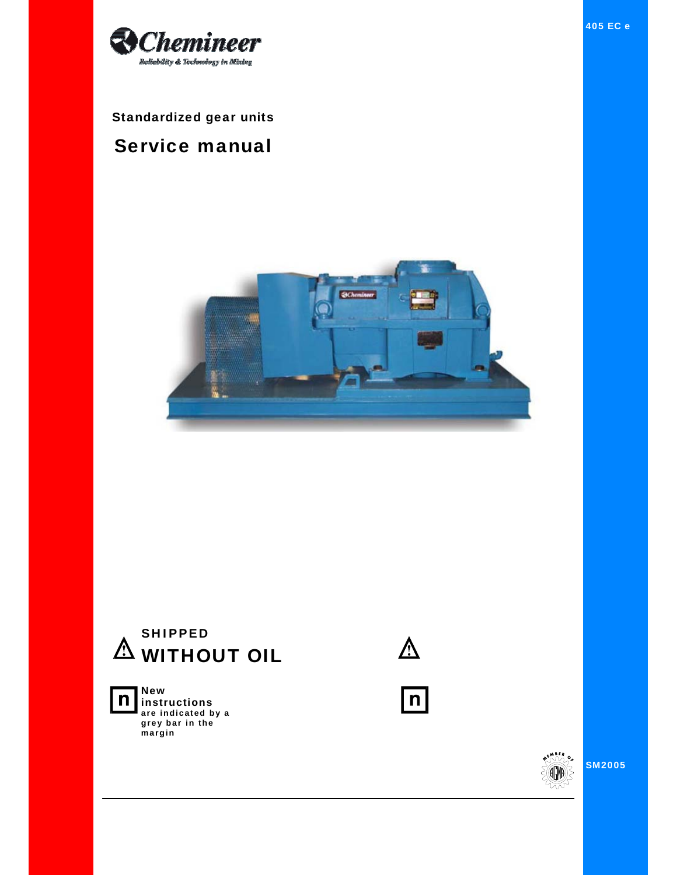

Standardized gear units

# Service manual





**New instructions are indicated by a grey bar in the margin** 



 $\boxed{n}$ 



SM2005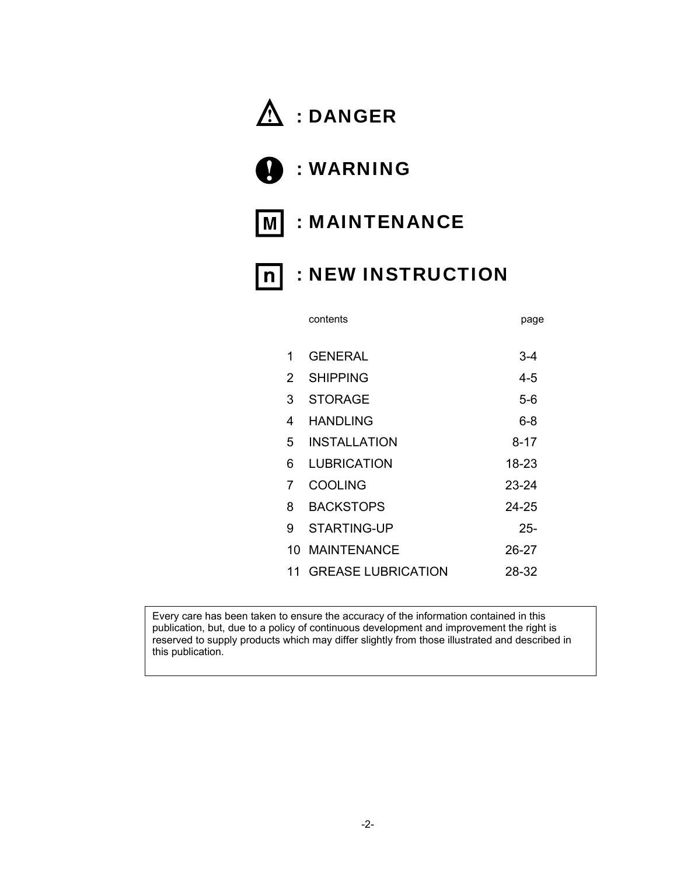# $\hat{M}$  : DANGER

- : WARNING
- M : MAINTENANCE
- n : NEW INSTRUCTION

|    |                           | r∽o∽      |
|----|---------------------------|-----------|
| 1  | <b>GENERAL</b>            | 3-4       |
| 2  | <b>SHIPPING</b>           | 4-5       |
| 3  | <b>STORAGE</b>            | $5-6$     |
| 4  | <b>HANDLING</b>           | $6 - 8$   |
| 5. | <b>INSTALLATION</b>       | $8 - 17$  |
| 6  | <b>LUBRICATION</b>        | 18-23     |
| 7  | <b>COOLING</b>            | $23 - 24$ |
| 8  | <b>BACKSTOPS</b>          | 24-25     |
| 9. | <b>STARTING-UP</b>        | $25 -$    |
|    | 10 MAINTENANCE            | 26-27     |
| 11 | <b>GREASE LUBRICATION</b> | 28-32     |
|    |                           |           |

contents **page** 

Every care has been taken to ensure the accuracy of the information contained in this publication, but, due to a policy of continuous development and improvement the right is reserved to supply products which may differ slightly from those illustrated and described in this publication.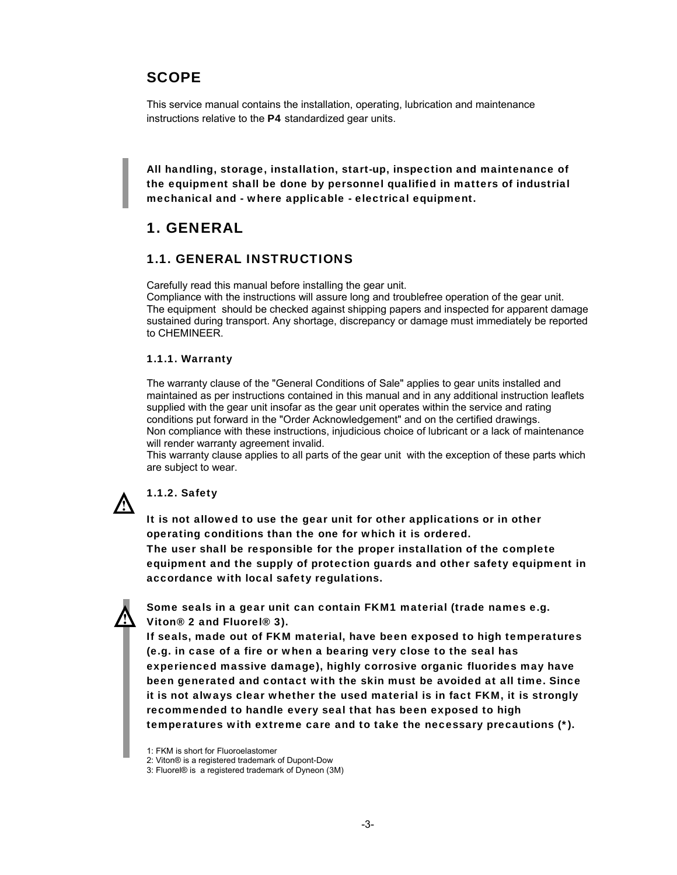# **SCOPE**

This service manual contains the installation, operating, lubrication and maintenance instructions relative to the P4 standardized gear units.

All handling, storage, installation, start-up, inspection and maintenance of the equipment shall be done by personnel qualified in matters of industrial mechanical and - where applicable - electrical equipment.

# 1. GENERAL

### 1.1. GENERAL INSTRUCTIONS

Carefully read this manual before installing the gear unit.

Compliance with the instructions will assure long and troublefree operation of the gear unit. The equipment should be checked against shipping papers and inspected for apparent damage sustained during transport. Any shortage, discrepancy or damage must immediately be reported to CHEMINEER.

#### 1.1.1. Warranty

The warranty clause of the "General Conditions of Sale" applies to gear units installed and maintained as per instructions contained in this manual and in any additional instruction leaflets supplied with the gear unit insofar as the gear unit operates within the service and rating conditions put forward in the "Order Acknowledgement" and on the certified drawings. Non compliance with these instructions, injudicious choice of lubricant or a lack of maintenance will render warranty agreement invalid.

This warranty clause applies to all parts of the gear unit with the exception of these parts which are subject to wear.

# 1.1.2. Safety

It is not allowed to use the gear unit for other applications or in other operating conditions than the one for which it is ordered.

The user shall be responsible for the proper installation of the complete equipment and the supply of protection guards and other safety equipment in accordance with local safety regulations.



Some seals in a gear unit can contain FKM1 material (trade names e.g. Viton® 2 and Fluorel® 3).

If seals, made out of FKM material, have been exposed to high temperatures (e.g. in case of a fire or when a bearing very close to the seal has experienced massive damage), highly corrosive organic fluorides may have been generated and contact with the skin must be avoided at all time. Since it is not always clear whether the used material is in fact FKM, it is strongly recommended to handle every seal that has been exposed to high temperatures with extreme care and to take the necessary precautions (\*).

<sup>1:</sup> FKM is short for Fluoroelastomer

<sup>2:</sup> Viton® is a registered trademark of Dupont-Dow

<sup>3:</sup> Fluorel® is a registered trademark of Dyneon (3M)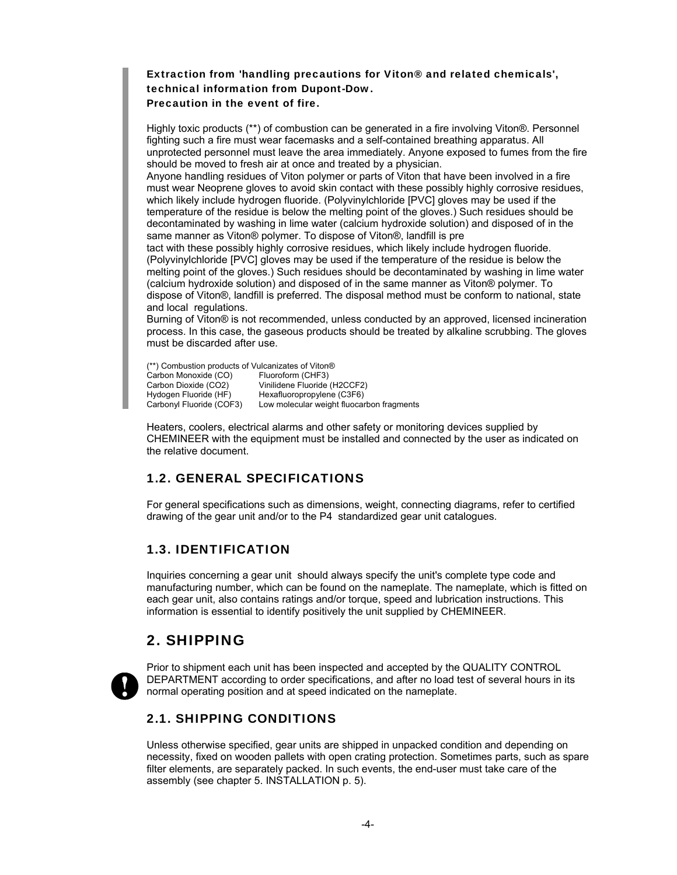#### Extraction from 'handling precautions for Viton® and related chemicals', technical information from Dupont-Dow. Precaution in the event of fire.

Highly toxic products (\*\*) of combustion can be generated in a fire involving Viton®. Personnel fighting such a fire must wear facemasks and a self-contained breathing apparatus. All unprotected personnel must leave the area immediately. Anyone exposed to fumes from the fire should be moved to fresh air at once and treated by a physician.

Anyone handling residues of Viton polymer or parts of Viton that have been involved in a fire must wear Neoprene gloves to avoid skin contact with these possibly highly corrosive residues, which likely include hydrogen fluoride. (Polyvinylchloride [PVC] gloves may be used if the temperature of the residue is below the melting point of the gloves.) Such residues should be decontaminated by washing in lime water (calcium hydroxide solution) and disposed of in the same manner as Viton® polymer. To dispose of Viton®, landfill is pre

tact with these possibly highly corrosive residues, which likely include hydrogen fluoride. (Polyvinylchloride [PVC] gloves may be used if the temperature of the residue is below the melting point of the gloves.) Such residues should be decontaminated by washing in lime water (calcium hydroxide solution) and disposed of in the same manner as Viton® polymer. To dispose of Viton®, landfill is preferred. The disposal method must be conform to national, state and local regulations.

Burning of Viton® is not recommended, unless conducted by an approved, licensed incineration process. In this case, the gaseous products should be treated by alkaline scrubbing. The gloves must be discarded after use.

(\*\*) Combustion products of Vulcanizates of Viton® Carbon Monoxide (CO)<br>Carbon Dioxide (CO2) Carbon Dioxide (CO2) Vinilidene Fluoride (H2CCF2)<br>Hydogen Fluoride (HF) Hexafluoropropylene (C3F6) Hexafluoropropylene (C3F6) Carbonyl Fluoride (COF3) Low molecular weight fluocarbon fragments

Heaters, coolers, electrical alarms and other safety or monitoring devices supplied by CHEMINEER with the equipment must be installed and connected by the user as indicated on the relative document.

# 1.2. GENERAL SPECIFICATIONS

For general specifications such as dimensions, weight, connecting diagrams, refer to certified drawing of the gear unit and/or to the P4 standardized gear unit catalogues.

# 1.3. IDENTIFICATION

Inquiries concerning a gear unit should always specify the unit's complete type code and manufacturing number, which can be found on the nameplate. The nameplate, which is fitted on each gear unit, also contains ratings and/or torque, speed and lubrication instructions. This information is essential to identify positively the unit supplied by CHEMINEER.

# 2. SHIPPING



Prior to shipment each unit has been inspected and accepted by the QUALITY CONTROL DEPARTMENT according to order specifications, and after no load test of several hours in its normal operating position and at speed indicated on the nameplate.

# 2.1. SHIPPING CONDITIONS

Unless otherwise specified, gear units are shipped in unpacked condition and depending on necessity, fixed on wooden pallets with open crating protection. Sometimes parts, such as spare filter elements, are separately packed. In such events, the end-user must take care of the assembly (see chapter 5. INSTALLATION p. 5).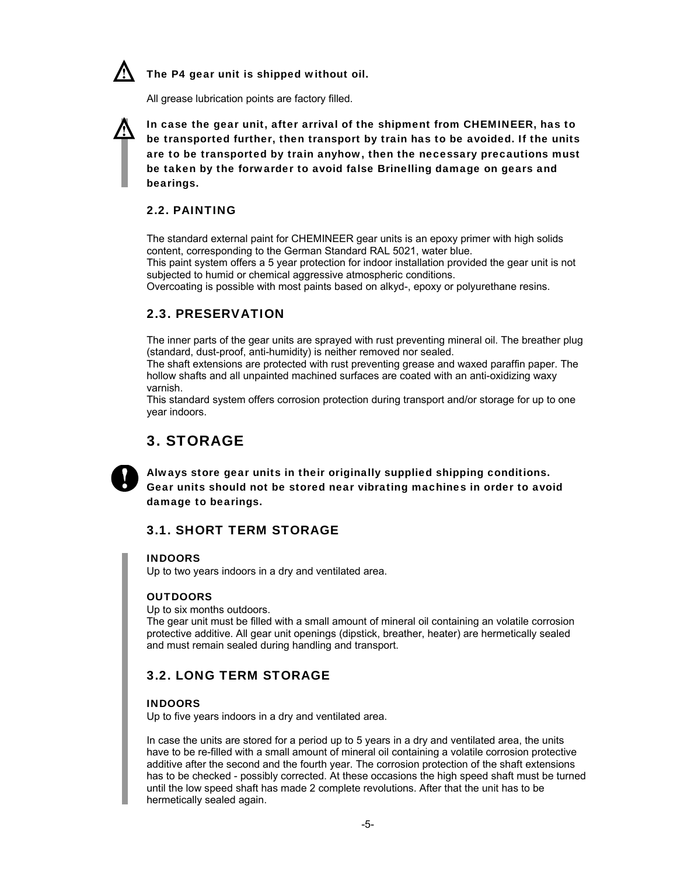

The P4 gear unit is shipped without oil.

All grease lubrication points are factory filled.

In case the gear unit, after arrival of the shipment from CHEMINEER, has to be transported further, then transport by train has to be avoided. If the units are to be transported by train anyhow, then the necessary precautions must be taken by the forwarder to avoid false Brinelling damage on gears and bearings.

### 2.2. PAINTING

The standard external paint for CHEMINEER gear units is an epoxy primer with high solids content, corresponding to the German Standard RAL 5021, water blue.

This paint system offers a 5 year protection for indoor installation provided the gear unit is not subjected to humid or chemical aggressive atmospheric conditions.

Overcoating is possible with most paints based on alkyd-, epoxy or polyurethane resins.

### 2.3. PRESERVATION

The inner parts of the gear units are sprayed with rust preventing mineral oil. The breather plug (standard, dust-proof, anti-humidity) is neither removed nor sealed.

The shaft extensions are protected with rust preventing grease and waxed paraffin paper. The hollow shafts and all unpainted machined surfaces are coated with an anti-oxidizing waxy varnish.

This standard system offers corrosion protection during transport and/or storage for up to one year indoors.

# 3. STORAGE



Always store gear units in their originally supplied shipping conditions. Gear units should not be stored near vibrating machines in order to avoid damage to bearings.

### 3.1. SHORT TERM STORAGE

#### INDOORS

Up to two years indoors in a dry and ventilated area.

#### **OUTDOORS**

Up to six months outdoors.

The gear unit must be filled with a small amount of mineral oil containing an volatile corrosion protective additive. All gear unit openings (dipstick, breather, heater) are hermetically sealed and must remain sealed during handling and transport.

### 3.2. LONG TERM STORAGE

#### INDOORS

Up to five years indoors in a dry and ventilated area.

In case the units are stored for a period up to 5 years in a dry and ventilated area, the units have to be re-filled with a small amount of mineral oil containing a volatile corrosion protective additive after the second and the fourth year. The corrosion protection of the shaft extensions has to be checked - possibly corrected. At these occasions the high speed shaft must be turned until the low speed shaft has made 2 complete revolutions. After that the unit has to be hermetically sealed again.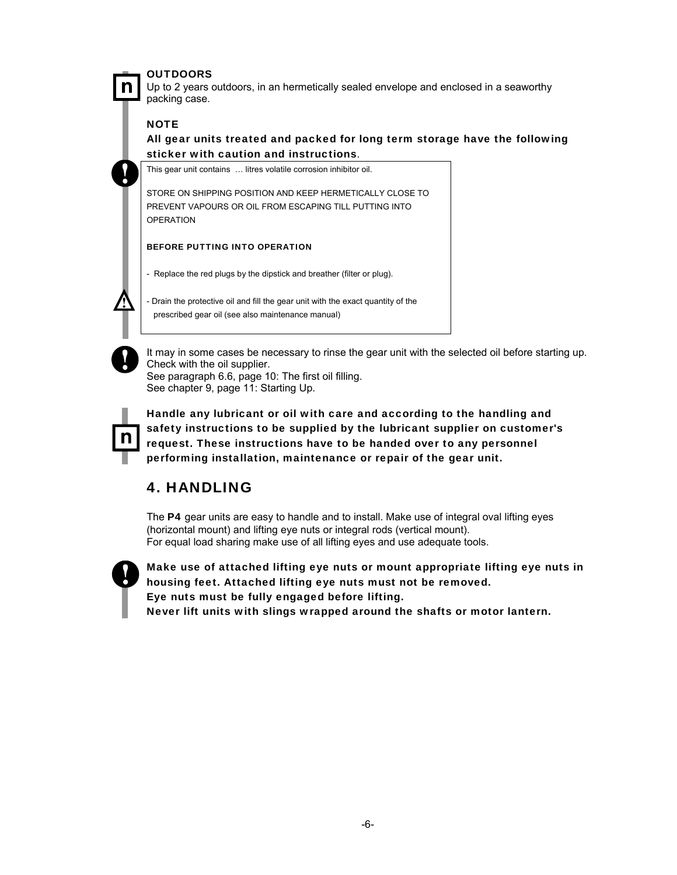#### **OUTDOORS**

Up to 2 years outdoors, in an hermetically sealed envelope and enclosed in a seaworthy packing case.

#### **NOTE**

n

All gear units treated and packed for long term storage have the following sticker with caution and instructions.

This gear unit contains … litres volatile corrosion inhibitor oil.

STORE ON SHIPPING POSITION AND KEEP HERMETICALLY CLOSE TO PREVENT VAPOURS OR OIL FROM ESCAPING TILL PUTTING INTO **OPERATION** 

BEFORE PUTTING INTO OPERATION

- Replace the red plugs by the dipstick and breather (filter or plug).

Drain the protective oil and fill the gear unit with the exact quantity of the prescribed gear oil (see also maintenance manual)



It may in some cases be necessary to rinse the gear unit with the selected oil before starting up. Check with the oil supplier.

See paragraph 6.6, page 10: The first oil filling. See chapter 9, page 11: Starting Up.



Handle any lubricant or oil with care and according to the handling and safety instructions to be supplied by the lubricant supplier on customer's request. These instructions have to be handed over to any personnel performing installation, maintenance or repair of the gear unit.

# 4. HANDLING

The P4 gear units are easy to handle and to install. Make use of integral oval lifting eyes (horizontal mount) and lifting eye nuts or integral rods (vertical mount). For equal load sharing make use of all lifting eyes and use adequate tools.



Make use of attached lifting eye nuts or mount appropriate lifting eye nuts in housing feet. Attached lifting eye nuts must not be removed. Eye nuts must be fully engaged before lifting. Never lift units with slings wrapped around the shafts or motor lantern.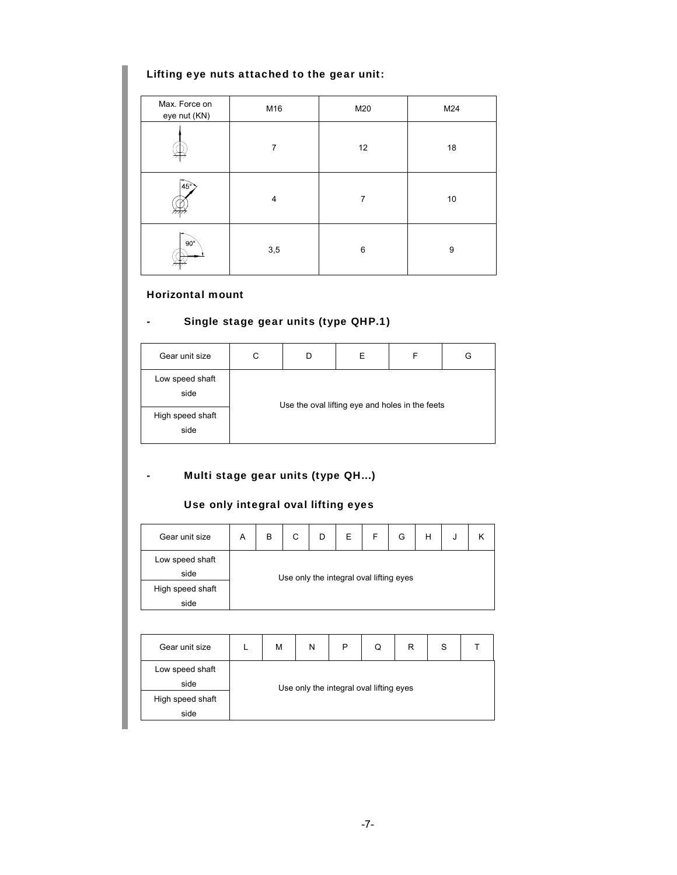# Lifting eye nuts attached to the gear unit:

| Max. Force on<br>eye nut (KN) | M16            | M20 | M24 |
|-------------------------------|----------------|-----|-----|
|                               | 7              | 12  | 18  |
| $ 45^\circ$                   | $\overline{4}$ | 7   | 10  |
| $90^\circ$                    | 3,5            | 6   | 9   |

### Horizontal mount

# - Single stage gear units (type QHP.1)

| Gear unit size           | С | Е | F                                               | G |
|--------------------------|---|---|-------------------------------------------------|---|
| Low speed shaft<br>side  |   |   | Use the oval lifting eye and holes in the feets |   |
| High speed shaft<br>side |   |   |                                                 |   |

# - Multi stage gear units (type QH...)

# Use only integral oval lifting eyes

| Gear unit size          | Α                                       | B | С | D | Е | F | G | Н | J |  |  |
|-------------------------|-----------------------------------------|---|---|---|---|---|---|---|---|--|--|
| Low speed shaft<br>side | Use only the integral oval lifting eyes |   |   |   |   |   |   |   |   |  |  |
| High speed shaft        |                                         |   |   |   |   |   |   |   |   |  |  |
| side                    |                                         |   |   |   |   |   |   |   |   |  |  |

| Gear unit size          |                                         | M | N | P | Q | R | S |  |  |
|-------------------------|-----------------------------------------|---|---|---|---|---|---|--|--|
| Low speed shaft<br>side | Use only the integral oval lifting eyes |   |   |   |   |   |   |  |  |
| High speed shaft        |                                         |   |   |   |   |   |   |  |  |
| side                    |                                         |   |   |   |   |   |   |  |  |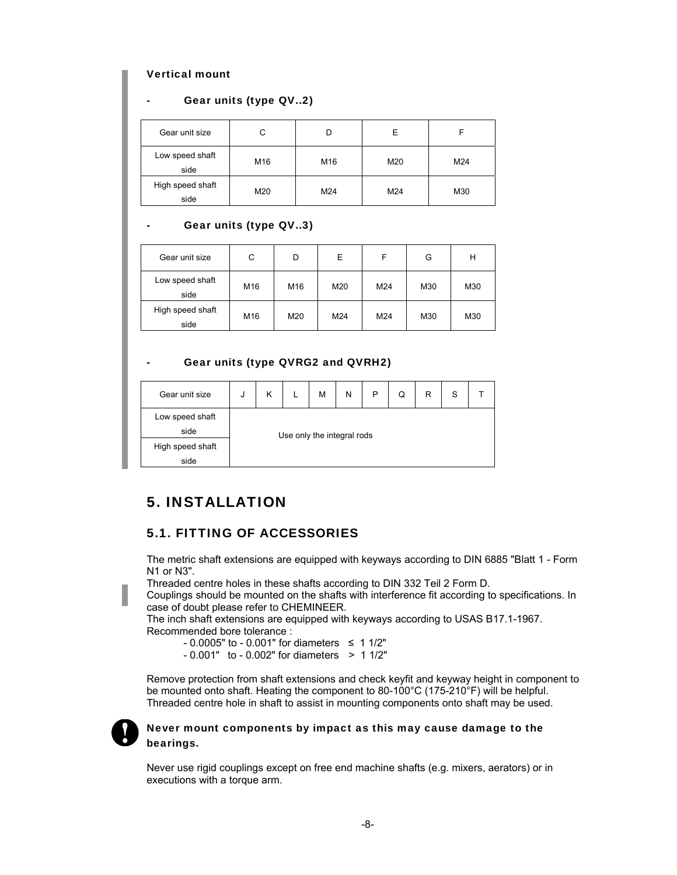#### Vertical mount

#### Gear units (type QV..2)

| Gear unit size           | C   |     | ⊢   |     |
|--------------------------|-----|-----|-----|-----|
| Low speed shaft<br>side  | M16 | M16 | M20 | M24 |
| High speed shaft<br>side | M20 | M24 | M24 | M30 |

#### Gear units (type QV..3)

| Gear unit size           | С   | D   | E   |     | G   | Н   |
|--------------------------|-----|-----|-----|-----|-----|-----|
| Low speed shaft<br>side  | M16 | M16 | M20 | M24 | M30 | M30 |
| High speed shaft<br>side | M16 | M20 | M24 | M24 | M30 | M30 |

#### Gear units (type QVRG2 and QVRH2)

| Gear unit size          | J                          | κ |  | M | N | P | Q | R | S |  |
|-------------------------|----------------------------|---|--|---|---|---|---|---|---|--|
| Low speed shaft<br>side | Use only the integral rods |   |  |   |   |   |   |   |   |  |
| High speed shaft        |                            |   |  |   |   |   |   |   |   |  |
| side                    |                            |   |  |   |   |   |   |   |   |  |

# 5. INSTALLATION

### 5.1. FITTING OF ACCESSORIES

The metric shaft extensions are equipped with keyways according to DIN 6885 "Blatt 1 - Form N1 or N3".

Threaded centre holes in these shafts according to DIN 332 Teil 2 Form D.

Couplings should be mounted on the shafts with interference fit according to specifications. In case of doubt please refer to CHEMINEER.

The inch shaft extensions are equipped with keyways according to USAS B17.1-1967. Recommended bore tolerance :

- $0.0005$ " to  $0.001$ " for diameters  $\leq 11/2$ "
- $0.001"$  to  $0.002"$  for diameters  $> 11/2"$

Remove protection from shaft extensions and check keyfit and keyway height in component to be mounted onto shaft. Heating the component to 80-100°C (175-210°F) will be helpful. Threaded centre hole in shaft to assist in mounting components onto shaft may be used.



#### Never mount components by impact as this may cause damage to the bearings.

Never use rigid couplings except on free end machine shafts (e.g. mixers, aerators) or in executions with a torque arm.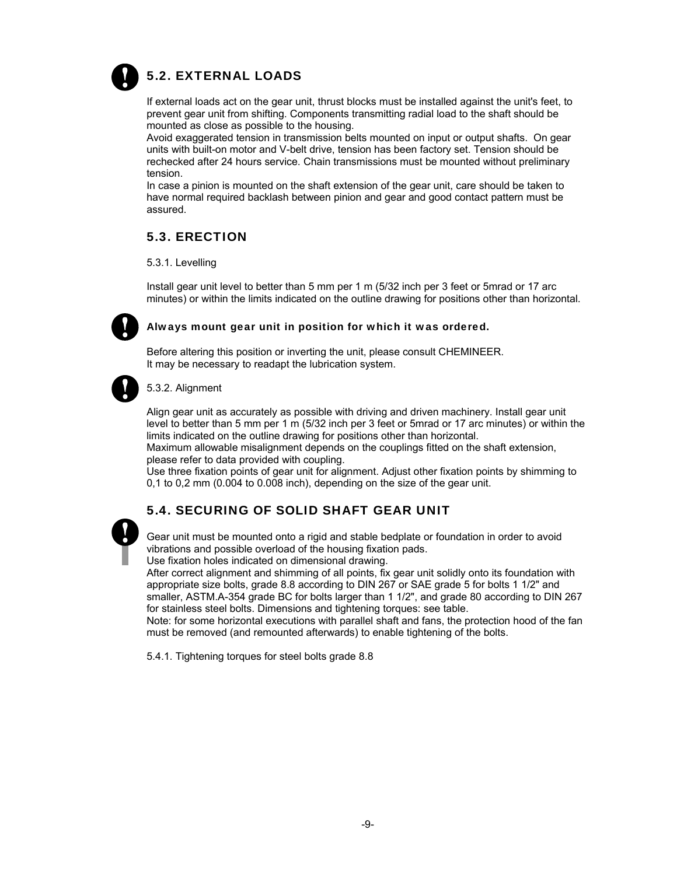

# 5.2. EXTERNAL LOADS

If external loads act on the gear unit, thrust blocks must be installed against the unit's feet, to prevent gear unit from shifting. Components transmitting radial load to the shaft should be mounted as close as possible to the housing.

Avoid exaggerated tension in transmission belts mounted on input or output shafts. On gear units with built-on motor and V-belt drive, tension has been factory set. Tension should be rechecked after 24 hours service. Chain transmissions must be mounted without preliminary tension.

In case a pinion is mounted on the shaft extension of the gear unit, care should be taken to have normal required backlash between pinion and gear and good contact pattern must be assured.

# 5.3. ERECTION

5.3.1. Levelling

Install gear unit level to better than 5 mm per 1 m (5/32 inch per 3 feet or 5mrad or 17 arc minutes) or within the limits indicated on the outline drawing for positions other than horizontal.



#### Always mount gear unit in position for which it was ordered.

Before altering this position or inverting the unit, please consult CHEMINEER. It may be necessary to readapt the lubrication system.



#### 5.3.2. Alignment

Align gear unit as accurately as possible with driving and driven machinery. Install gear unit level to better than 5 mm per 1 m (5/32 inch per 3 feet or 5mrad or 17 arc minutes) or within the limits indicated on the outline drawing for positions other than horizontal.

Maximum allowable misalignment depends on the couplings fitted on the shaft extension, please refer to data provided with coupling.

Use three fixation points of gear unit for alignment. Adjust other fixation points by shimming to 0,1 to 0,2 mm (0.004 to 0.008 inch), depending on the size of the gear unit.



### 5.4. SECURING OF SOLID SHAFT GEAR UNIT

Gear unit must be mounted onto a rigid and stable bedplate or foundation in order to avoid vibrations and possible overload of the housing fixation pads. Use fixation holes indicated on dimensional drawing.

After correct alignment and shimming of all points, fix gear unit solidly onto its foundation with appropriate size bolts, grade 8.8 according to DIN 267 or SAE grade 5 for bolts 1 1/2" and smaller, ASTM.A-354 grade BC for bolts larger than 1 1/2", and grade 80 according to DIN 267 for stainless steel bolts. Dimensions and tightening torques: see table.

Note: for some horizontal executions with parallel shaft and fans, the protection hood of the fan must be removed (and remounted afterwards) to enable tightening of the bolts.

5.4.1. Tightening torques for steel bolts grade 8.8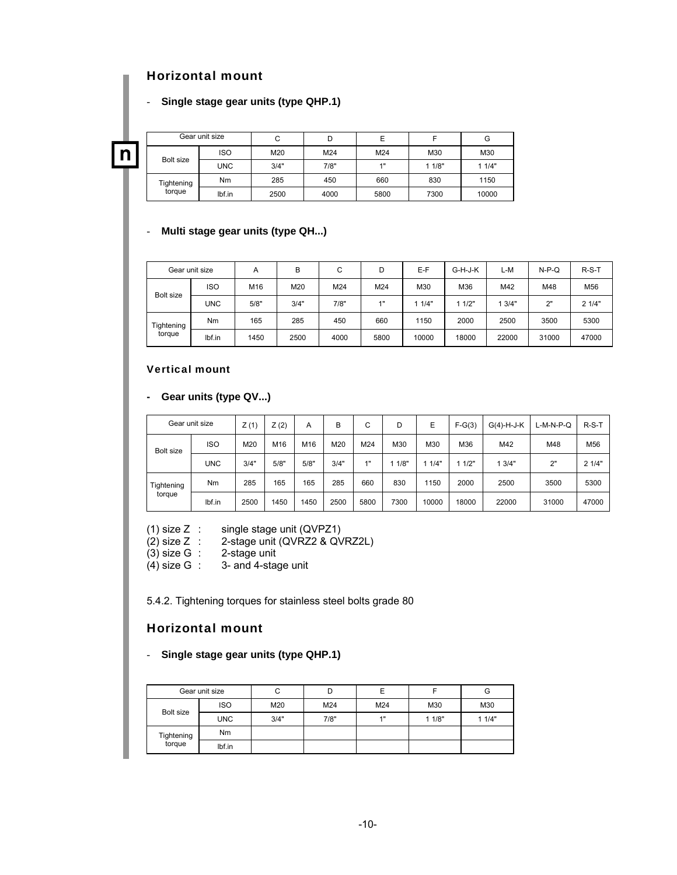# Horizontal mount

#### - **Single stage gear units (type QHP.1)**

n

|            | Gear unit size | С    | D          | Е    |       | G     |
|------------|----------------|------|------------|------|-------|-------|
|            | <b>ISO</b>     | M20  | M24<br>M24 |      | M30   | M30   |
| Bolt size  | <b>UNC</b>     | 3/4" | 7/8"       | 1"   | 11/8" | 11/4" |
| Tightening | Nm             | 285  | 450        | 660  | 830   | 1150  |
| torque     | Ibf.in         | 2500 | 4000       | 5800 | 7300  | 10000 |

#### - **Multi stage gear units (type QH...)**

|            | Gear unit size | Α    | B    | С    | D    | E-F   | G-H-J-K | L-M   | $N-P-Q$ | $R-S-T$ |
|------------|----------------|------|------|------|------|-------|---------|-------|---------|---------|
|            | <b>ISO</b>     | M16  | M20  | M24  | M24  | M30   | M36     | M42   | M48     | M56     |
| Bolt size  | <b>UNC</b>     | 5/8" | 3/4" | 7/8" | 4"   | 11/4" | 11/2"   | 3/4"  | 2"      | 21/4"   |
| Tightening | N <sub>m</sub> | 165  | 285  | 450  | 660  | 1150  | 2000    | 2500  | 3500    | 5300    |
| torque     | lbf.in         | 1450 | 2500 | 4000 | 5800 | 10000 | 18000   | 22000 | 31000   | 47000   |

#### Vertical mount

**- Gear units (type QV...)**

|            | Gear unit size | Z(1) | Z(2) | Α    | в    | С    | D    | E     | $F-G(3)$ | $G(4)-H-J-K$ | L-M-N-P-Q | $R-S-T$ |
|------------|----------------|------|------|------|------|------|------|-------|----------|--------------|-----------|---------|
| Bolt size  | <b>ISO</b>     | M20  | M16  | M16  | M20  | M24  | M30  | M30   | M36      | M42          | M48       | M56     |
|            | <b>UNC</b>     | 3/4" | 5/8" | 5/8" | 3/4" | 1"   | 1/8" | 11/4" | 11/2"    | 13/4"        | 2"        | 21/4"   |
| Tightening | Nm             | 285  | 165  | 165  | 285  | 660  | 830  | 1150  | 2000     | 2500         | 3500      | 5300    |
| torque     | lbf.in         | 2500 | 1450 | 1450 | 2500 | 5800 | 7300 | 10000 | 18000    | 22000        | 31000     | 47000   |

(1) size Z : single stage unit (QVPZ1)

(2) size Z : 2-stage unit (QVRZ2 & QVRZ2L)

(3) size G : 2-stage unit

 $(4)$  size G : 3- and 4-stage unit

5.4.2. Tightening torques for stainless steel bolts grade 80

### Horizontal mount

#### - **Single stage gear units (type QHP.1)**

|            | Gear unit size |      |      |     |       | G     |
|------------|----------------|------|------|-----|-------|-------|
|            | <b>ISO</b>     | M20  | M24  | M24 | M30   | M30   |
| Bolt size  | <b>UNC</b>     | 3/4" | 7/8" | 1"  | 11/8" | 11/4" |
| Tightening | <b>Nm</b>      |      |      |     |       |       |
| torque     | lbf.in         |      |      |     |       |       |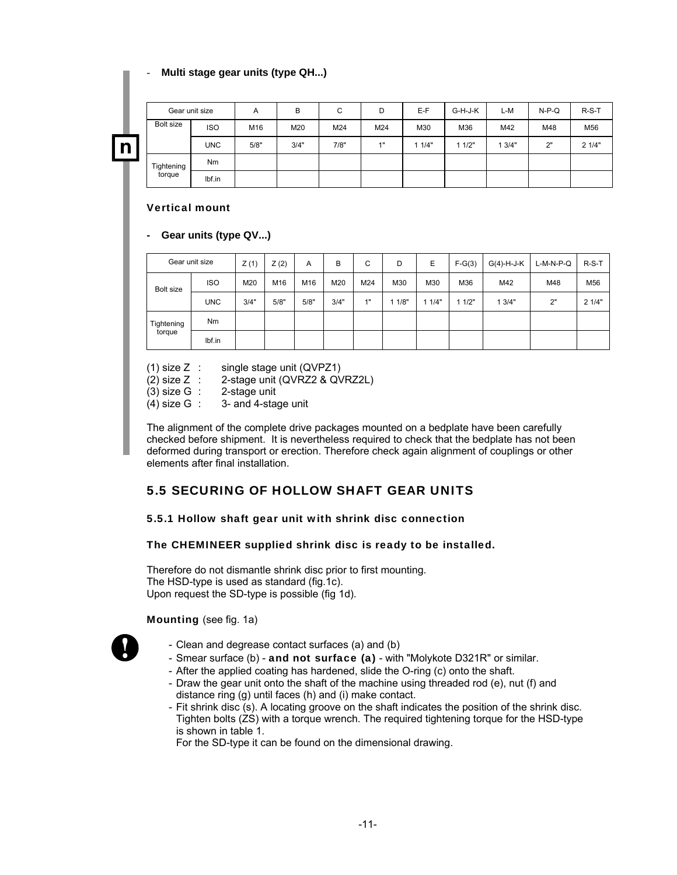#### - **Multi stage gear units (type QH...)**

| Gear unit size       |            | A    | B    | C    | D   | E-F   | G-H-J-K | L-M   | $N-P-Q$ | $R-S-T$ |
|----------------------|------------|------|------|------|-----|-------|---------|-------|---------|---------|
| Bolt size            | <b>ISO</b> | M16  | M20  | M24  | M24 | M30   | M36     | M42   | M48     | M56     |
|                      | <b>UNC</b> | 5/8" | 3/4" | 7/8" | 1"  | 11/4" | 11/2"   | 13/4" | 2"      | 21/4"   |
| Tightening<br>torque | <b>Nm</b>  |      |      |      |     |       |         |       |         |         |
|                      | lbf.in     |      |      |      |     |       |         |       |         |         |

#### Vertical mount

#### **- Gear units (type QV...)**

|                      | Gear unit size | Z(1) | Z(2) | A    | B    | С   | D    | E     | $F-G(3)$ | $G(4)-H-J-K$ | $L-M-N-P-Q$ | $R-S-T$         |
|----------------------|----------------|------|------|------|------|-----|------|-------|----------|--------------|-------------|-----------------|
| <b>Bolt size</b>     | <b>ISO</b>     | M20  | M16  | M16  | M20  | M24 | M30  | M30   | M36      | M42          | M48         | M <sub>56</sub> |
|                      | <b>UNC</b>     | 3/4" | 5/8" | 5/8" | 3/4" | 4H  | 1/8" | 11/4" | 11/2"    | 13/4"        | 2"          | 21/4"           |
| Tightening<br>torque | N <sub>m</sub> |      |      |      |      |     |      |       |          |              |             |                 |
|                      | lbf.in         |      |      |      |      |     |      |       |          |              |             |                 |

(1) size Z : single stage unit (QVPZ1)

(2) size Z : 2-stage unit (QVRZ2 & QVRZ2L)

(3) size G : 2-stage unit

(4) size  $G : 3$ - and 4-stage unit

The alignment of the complete drive packages mounted on a bedplate have been carefully checked before shipment. It is nevertheless required to check that the bedplate has not been deformed during transport or erection. Therefore check again alignment of couplings or other elements after final installation.

# 5.5 SECURING OF HOLLOW SHAFT GEAR UNITS

#### 5.5.1 Hollow shaft gear unit with shrink disc connection

#### The CHEMINEER supplied shrink disc is ready to be installed.

Therefore do not dismantle shrink disc prior to first mounting. The HSD-type is used as standard (fig.1c). Upon request the SD-type is possible (fig 1d).

#### Mounting (see fig. 1a)



- Clean and degrease contact surfaces (a) and (b)
- Smear surface (b) and not surface (a) with "Molykote D321R" or similar.
- After the applied coating has hardened, slide the O-ring (c) onto the shaft.
- Draw the gear unit onto the shaft of the machine using threaded rod (e), nut (f) and distance ring (g) until faces (h) and (i) make contact.
- Fit shrink disc (s). A locating groove on the shaft indicates the position of the shrink disc. Tighten bolts (ZS) with a torque wrench. The required tightening torque for the HSD-type is shown in table 1.
- For the SD-type it can be found on the dimensional drawing.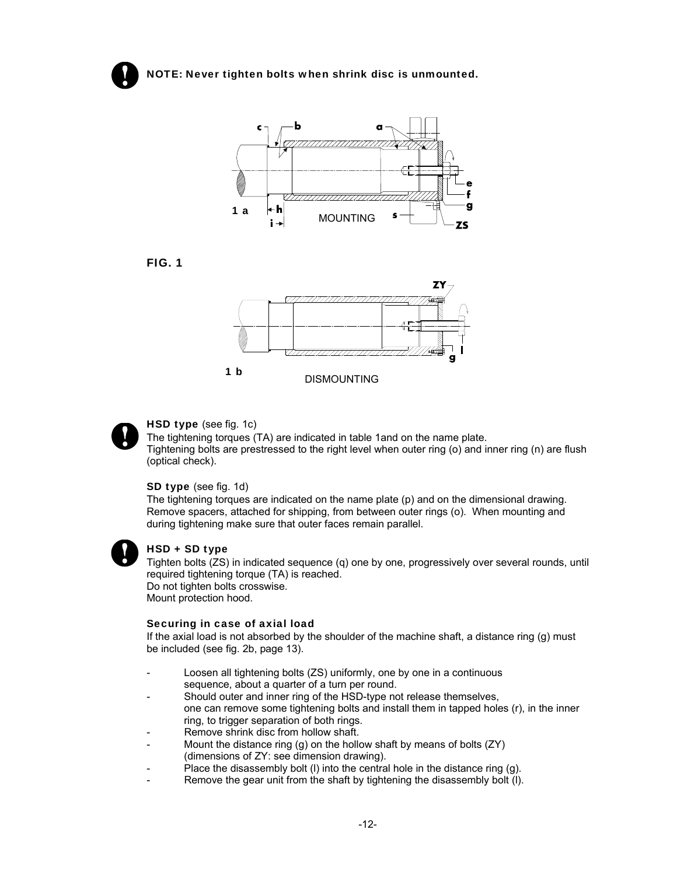

NOTE: Never tighten bolts when shrink disc is unmounted.









#### HSD type (see fig. 1c)

The tightening torques (TA) are indicated in table 1and on the name plate. Tightening bolts are prestressed to the right level when outer ring (o) and inner ring (n) are flush (optical check).

#### SD type (see fig. 1d)

The tightening torques are indicated on the name plate (p) and on the dimensional drawing. Remove spacers, attached for shipping, from between outer rings (o). When mounting and during tightening make sure that outer faces remain parallel.



#### HSD + SD type

Tighten bolts (ZS) in indicated sequence (q) one by one, progressively over several rounds, until required tightening torque (TA) is reached. Do not tighten bolts crosswise. Mount protection hood.

#### Securing in case of axial load

If the axial load is not absorbed by the shoulder of the machine shaft, a distance ring (g) must be included (see fig. 2b, page 13).

- Loosen all tightening bolts (ZS) uniformly, one by one in a continuous sequence, about a quarter of a turn per round.
- Should outer and inner ring of the HSD-type not release themselves, one can remove some tightening bolts and install them in tapped holes (r), in the inner ring, to trigger separation of both rings.
- Remove shrink disc from hollow shaft.
- Mount the distance ring (g) on the hollow shaft by means of bolts (ZY) (dimensions of ZY: see dimension drawing).
- Place the disassembly bolt (I) into the central hole in the distance ring (g).
- Remove the gear unit from the shaft by tightening the disassembly bolt (I).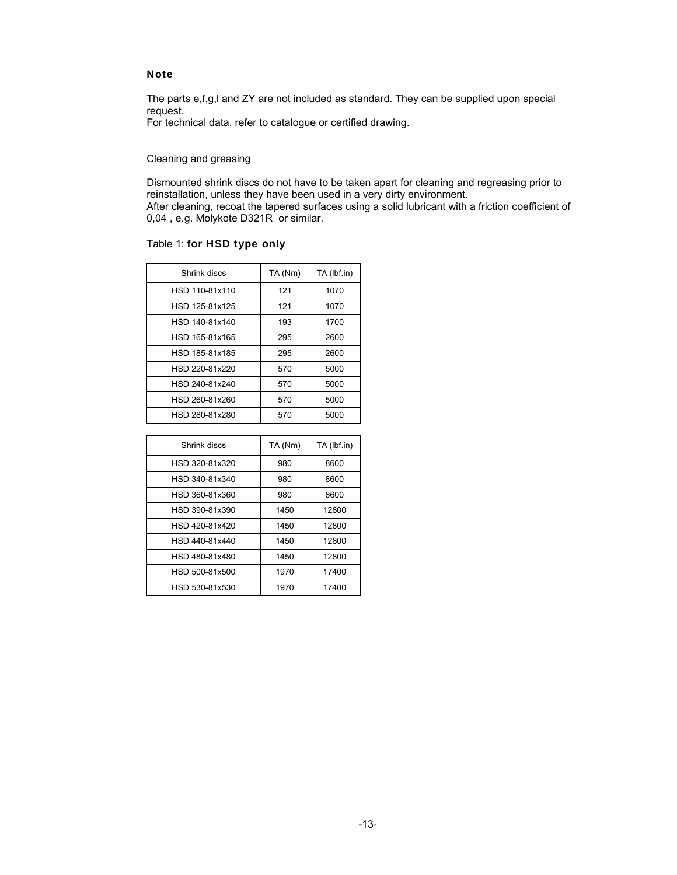#### **Note**

The parts e,f,g,l and ZY are not included as standard. They can be supplied upon special request.

For technical data, refer to catalogue or certified drawing.

#### Cleaning and greasing

Dismounted shrink discs do not have to be taken apart for cleaning and regreasing prior to reinstallation, unless they have been used in a very dirty environment. After cleaning, recoat the tapered surfaces using a solid lubricant with a friction coefficient of 0,04 , e.g. Molykote D321R or similar.

#### Table 1: for HSD type only

| Shrink discs   | TA (Nm) | TA (lbf.in) |
|----------------|---------|-------------|
| HSD 110-81x110 | 121     | 1070        |
| HSD 125-81x125 | 121     | 1070        |
| HSD 140-81x140 | 193     | 1700        |
| HSD 165-81x165 | 295     | 2600        |
| HSD 185-81x185 | 295     | 2600        |
| HSD 220-81x220 | 570     | 5000        |
| HSD 240-81x240 | 570     | 5000        |
| HSD 260-81x260 | 570     | 5000        |
| HSD 280-81x280 | 570     | 5000        |

| Shrink discs   | TA (Nm) | TA (lbf.in) |
|----------------|---------|-------------|
| HSD 320-81x320 | 980     | 8600        |
| HSD 340-81x340 | 980     | 8600        |
| HSD 360-81x360 | 980     | 8600        |
| HSD 390-81x390 | 1450    | 12800       |
| HSD 420-81x420 | 1450    | 12800       |
| HSD 440-81x440 | 1450    | 12800       |
| HSD 480-81x480 | 1450    | 12800       |
| HSD 500-81x500 | 1970    | 17400       |
| HSD 530-81x530 | 1970    | 17400       |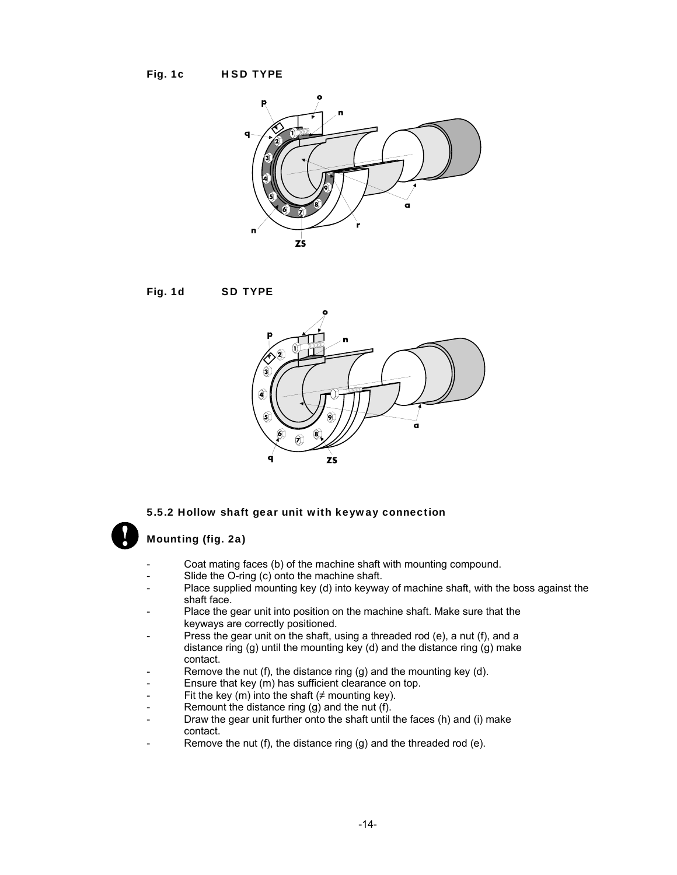







#### 5.5.2 Hollow shaft gear unit with keyway connection

#### Mounting (fig. 2a)

- Coat mating faces (b) of the machine shaft with mounting compound.
- Slide the O-ring (c) onto the machine shaft.
- Place supplied mounting key (d) into keyway of machine shaft, with the boss against the shaft face.
- Place the gear unit into position on the machine shaft. Make sure that the keyways are correctly positioned.
- Press the gear unit on the shaft, using a threaded rod (e), a nut (f), and a distance ring (g) until the mounting key (d) and the distance ring (g) make contact.
- Remove the nut (f), the distance ring (g) and the mounting key (d).
- Ensure that key (m) has sufficient clearance on top.
- Fit the key (m) into the shaft ( $\neq$  mounting key).
- Remount the distance ring  $(g)$  and the nut  $(f)$ .
- Draw the gear unit further onto the shaft until the faces (h) and (i) make contact.
- Remove the nut (f), the distance ring (g) and the threaded rod (e).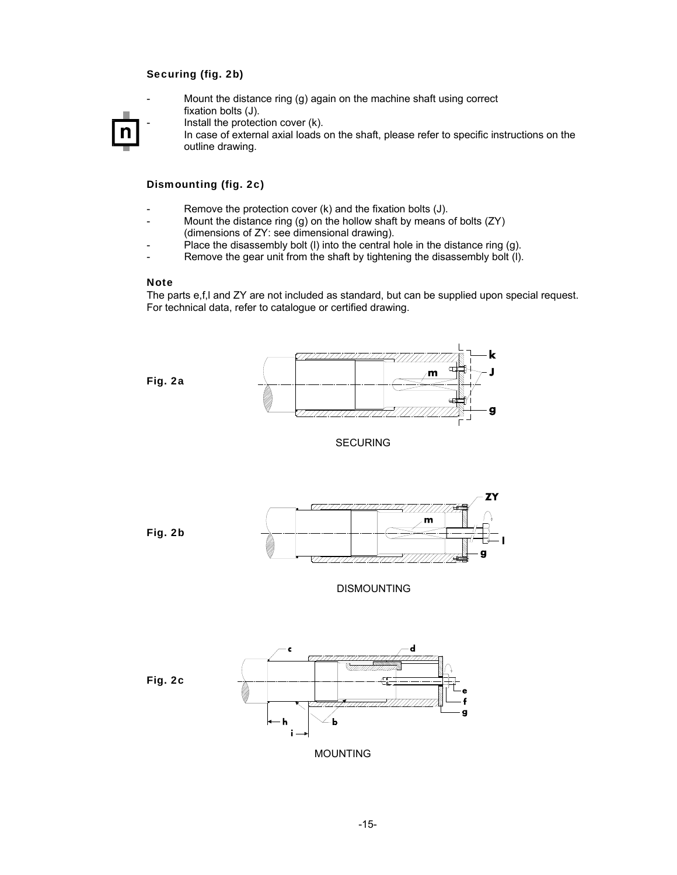#### Securing (fig. 2b)

Mount the distance ring  $(q)$  again on the machine shaft using correct fixation bolts (J).



Install the protection cover  $(k)$ .

In case of external axial loads on the shaft, please refer to specific instructions on the outline drawing.

#### Dismounting (fig. 2c)

- Remove the protection cover  $(k)$  and the fixation bolts  $(J)$ .
- Mount the distance ring (g) on the hollow shaft by means of bolts  $(ZY)$ (dimensions of ZY: see dimensional drawing).
- Place the disassembly bolt (I) into the central hole in the distance ring (g).
- Remove the gear unit from the shaft by tightening the disassembly bolt (I).

#### **Note**

The parts e,f,l and ZY are not included as standard, but can be supplied upon special request. For technical data, refer to catalogue or certified drawing.

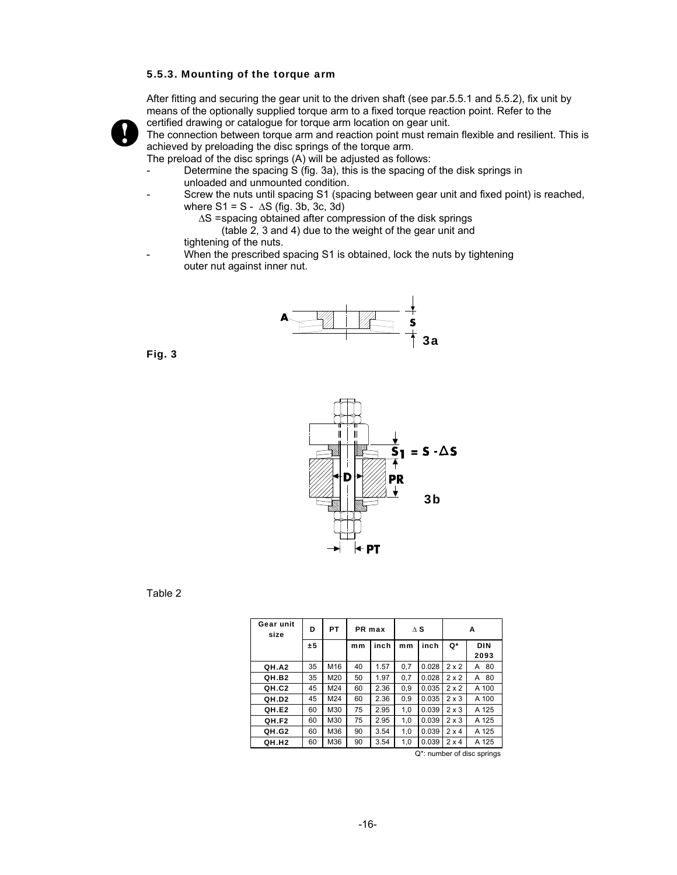#### 5.5.3. Mounting of the torque arm

After fitting and securing the gear unit to the driven shaft (see par.5.5.1 and 5.5.2), fix unit by means of the optionally supplied torque arm to a fixed torque reaction point. Refer to the certified drawing or catalogue for torque arm location on gear unit.



The connection between torque arm and reaction point must remain flexible and resilient. This is achieved by preloading the disc springs of the torque arm.

The preload of the disc springs (A) will be adjusted as follows:

- Determine the spacing S (fig. 3a), this is the spacing of the disk springs in unloaded and unmounted condition.
- Screw the nuts until spacing S1 (spacing between gear unit and fixed point) is reached, where  $S1 = S - \Delta S$  (fig. 3b, 3c, 3d)
	- ∆S = spacing obtained after compression of the disk springs (table 2, 3 and 4) due to the weight of the gear unit and
	- tightening of the nuts.
- When the prescribed spacing S1 is obtained, lock the nuts by tightening outer nut against inner nut.



Fig. 3



Table 2

| Gear unit<br>size | D  | PT. | PR max |      | $\Delta$ S |       | Α            |                    |  |
|-------------------|----|-----|--------|------|------------|-------|--------------|--------------------|--|
|                   | ±5 |     | mm     | inch | mm         | inch  | Q*           | <b>DIN</b><br>2093 |  |
| OH.A2             | 35 | M16 | 40     | 1.57 | 0.7        | 0.028 | $2 \times 2$ | 80<br>А            |  |
| OH.B <sub>2</sub> | 35 | M20 | 50     | 1.97 | 0.7        | 0.028 | 2x2          | 80<br>A            |  |
| OH.C2             | 45 | M24 | 60     | 2.36 | 0.9        | 0.035 | $2 \times 2$ | A 100              |  |
| OH.D <sub>2</sub> | 45 | M24 | 60     | 2.36 | 0.9        | 0.035 | $2 \times 3$ | A 100              |  |
| OH.E2             | 60 | M30 | 75     | 2.95 | 1,0        | 0.039 | $2 \times 3$ | A 125              |  |
| OH.F2             | 60 | M30 | 75     | 2.95 | 1,0        | 0.039 | $2 \times 3$ | A 125              |  |
| OH.G2             | 60 | M36 | 90     | 3.54 | 1,0        | 0.039 | $2 \times 4$ | A 125              |  |
| QH.H <sub>2</sub> | 60 | M36 | 90     | 3.54 |            | 0.039 | $2 \times 4$ | A 125              |  |

Q\*: number of disc springs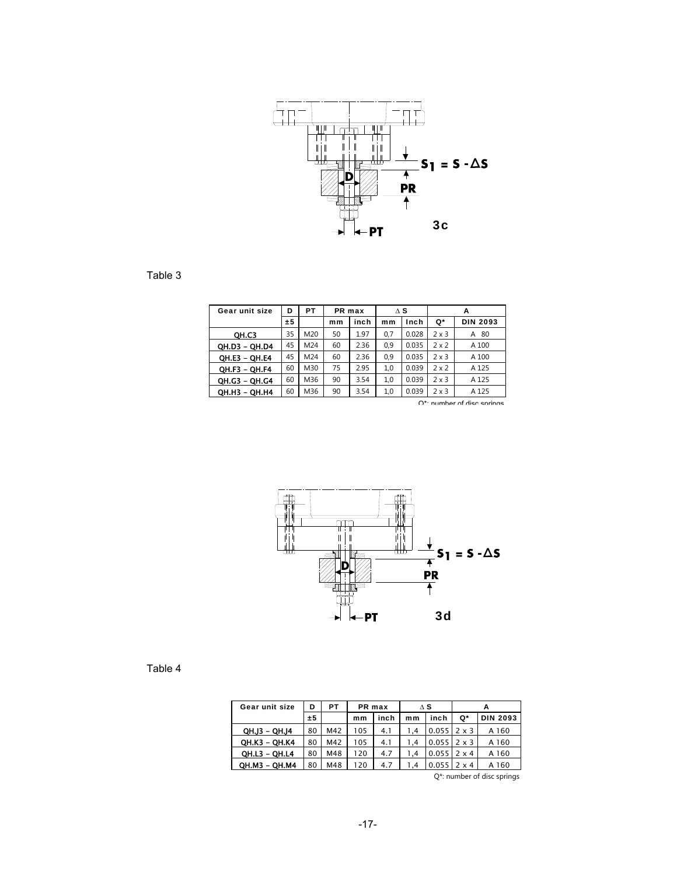

Table 3

| Gear unit size       | D  | PT  | PR max |      | $\Delta$ S |       | A            |                 |  |
|----------------------|----|-----|--------|------|------------|-------|--------------|-----------------|--|
|                      | ±5 |     | mm     | inch | mm         | Inch  | Q*           | <b>DIN 2093</b> |  |
| OH.C3                | 35 | M20 | 50     | 1.97 | 0.7        | 0.028 | $2 \times 3$ | 80<br>А         |  |
| OH.D3 - OH.D4        | 45 | M24 | 60     | 2.36 | 0.9        | 0.035 | $2 \times 2$ | A 100           |  |
| QH.E3 - QH.E4        | 45 | M24 | 60     | 2.36 | 0.9        | 0.035 | $2 \times 3$ | A 100           |  |
| <b>QH.F3 - QH.F4</b> | 60 | M30 | 75     | 2.95 | 1.0        | 0.039 | $2 \times 2$ | A 125           |  |
| OH.G3 - OH.G4        | 60 | M36 | 90     | 3.54 | 1,0        | 0.039 | $2 \times 3$ | A 125           |  |
| OH.H3 - OH.H4        | 60 | M36 | 90     | 3.54 | 1,0        | 0.039 | $2 \times 3$ | A 125           |  |

 $\bigcap^*$ : number of disc springs



#### Table 4

| Gear unit size       | D  | PТ  | PR max |      |     | ΛS                     | А            |                 |  |
|----------------------|----|-----|--------|------|-----|------------------------|--------------|-----------------|--|
|                      | ±5 |     | mm     | inch | mm  | inch                   | Q*           | <b>DIN 2093</b> |  |
| <b>QH.J3 - QH.J4</b> | 80 | M42 | 05     | 4.1  | 1.4 | $0.055$   2 $\times$ 3 |              | A 160           |  |
| QH.K3 - QH.K4        | 80 | M42 | 105    | 4.1  | 1.4 | $0.055$   2 $\times$ 3 |              | A 160           |  |
| <b>QH.L3 - QH.L4</b> | 80 | M48 | 20     | 4.7  | 1.4 | 0.055                  | $2 \times 4$ | A 160           |  |
| OH.M3 - OH.M4        | 80 | M48 | 20     | 4.7  | 1.4 | 0.055                  | $2 \times 4$ | A 160           |  |

Q\*: number of disc springs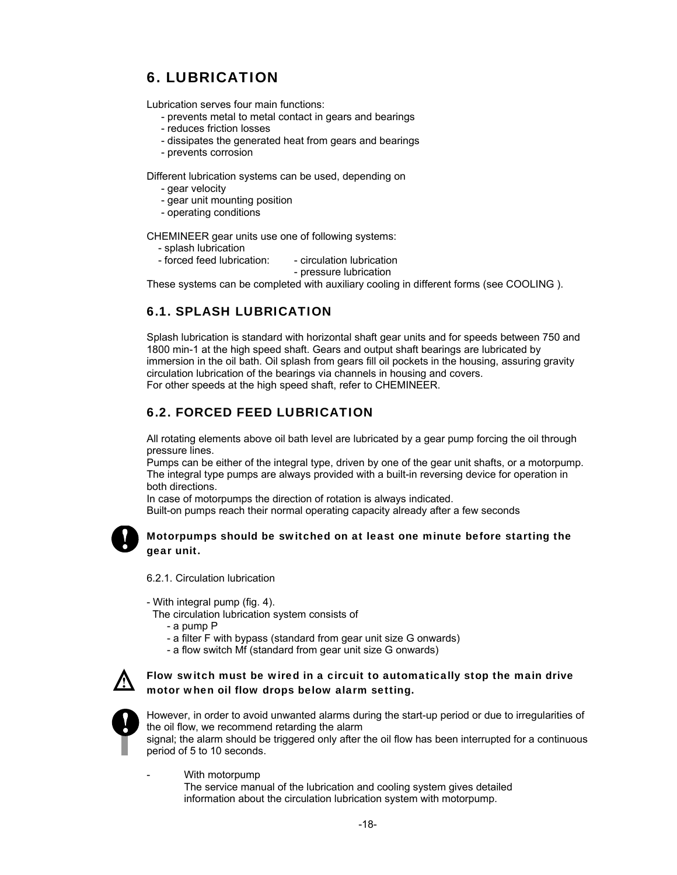# 6. LUBRICATION

Lubrication serves four main functions:

- prevents metal to metal contact in gears and bearings
- reduces friction losses
- dissipates the generated heat from gears and bearings
- prevents corrosion

Different lubrication systems can be used, depending on

- gear velocity
- gear unit mounting position
- operating conditions

CHEMINEER gear units use one of following systems:

- splash lubrication
- forced feed lubrication: circulation lubrication

- pressure lubrication

These systems can be completed with auxiliary cooling in different forms (see COOLING ).

# 6.1. SPLASH LUBRICATION

Splash lubrication is standard with horizontal shaft gear units and for speeds between 750 and 1800 min-1 at the high speed shaft. Gears and output shaft bearings are lubricated by immersion in the oil bath. Oil splash from gears fill oil pockets in the housing, assuring gravity circulation lubrication of the bearings via channels in housing and covers. For other speeds at the high speed shaft, refer to CHEMINEER.

# 6.2. FORCED FEED LUBRICATION

All rotating elements above oil bath level are lubricated by a gear pump forcing the oil through pressure lines.

Pumps can be either of the integral type, driven by one of the gear unit shafts, or a motorpump. The integral type pumps are always provided with a built-in reversing device for operation in both directions.

In case of motorpumps the direction of rotation is always indicated.

Built-on pumps reach their normal operating capacity already after a few seconds



#### Motorpumps should be switched on at least one minute before starting the gear unit.

6.2.1. Circulation lubrication

- With integral pump (fig. 4).
- The circulation lubrication system consists of
	- a pump P
	- a filter F with bypass (standard from gear unit size G onwards)
	- a flow switch Mf (standard from gear unit size G onwards)



Flow switch must be wired in a circuit to automatically stop the main drive motor when oil flow drops below alarm setting.



However, in order to avoid unwanted alarms during the start-up period or due to irregularities of the oil flow, we recommend retarding the alarm

signal; the alarm should be triggered only after the oil flow has been interrupted for a continuous period of 5 to 10 seconds.

With motorpump

 The service manual of the lubrication and cooling system gives detailed information about the circulation lubrication system with motorpump.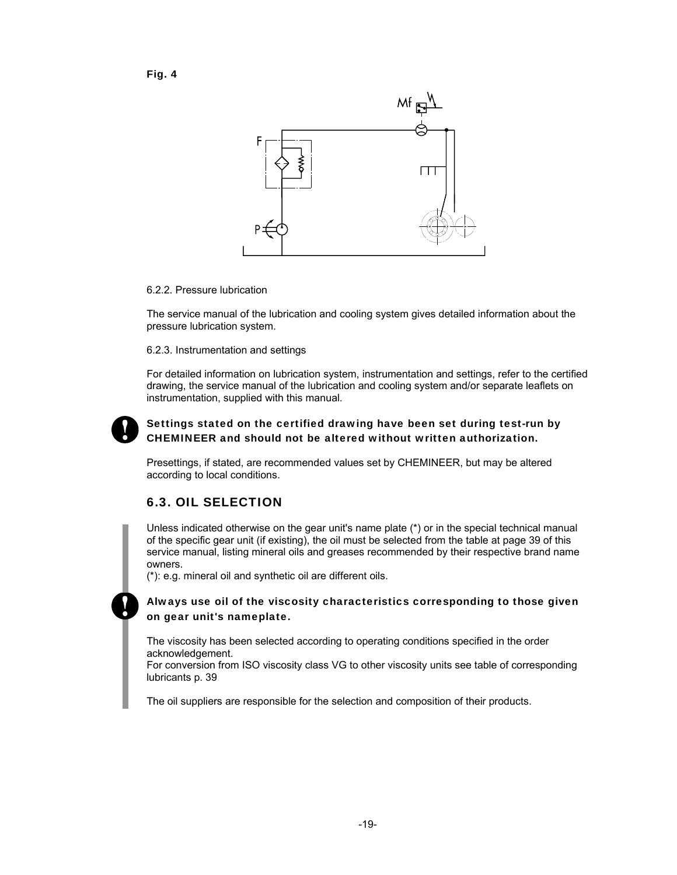



 $\Box$ 

#### 6.2.2. Pressure lubrication

The service manual of the lubrication and cooling system gives detailed information about the pressure lubrication system.

#### 6.2.3. Instrumentation and settings

For detailed information on lubrication system, instrumentation and settings, refer to the certified drawing, the service manual of the lubrication and cooling system and/or separate leaflets on instrumentation, supplied with this manual.



### Settings stated on the certified drawing have been set during test-run by CHEMINEER and should not be altered without written authorization.

Presettings, if stated, are recommended values set by CHEMINEER, but may be altered according to local conditions.

# 6.3. OIL SELECTION

Unless indicated otherwise on the gear unit's name plate (\*) or in the special technical manual of the specific gear unit (if existing), the oil must be selected from the table at page 39 of this service manual, listing mineral oils and greases recommended by their respective brand name owners.

(\*): e.g. mineral oil and synthetic oil are different oils.

#### Always use oil of the viscosity characteristics corresponding to those given on gear unit's nameplate.

The viscosity has been selected according to operating conditions specified in the order acknowledgement.

For conversion from ISO viscosity class VG to other viscosity units see table of corresponding lubricants p. 39

The oil suppliers are responsible for the selection and composition of their products.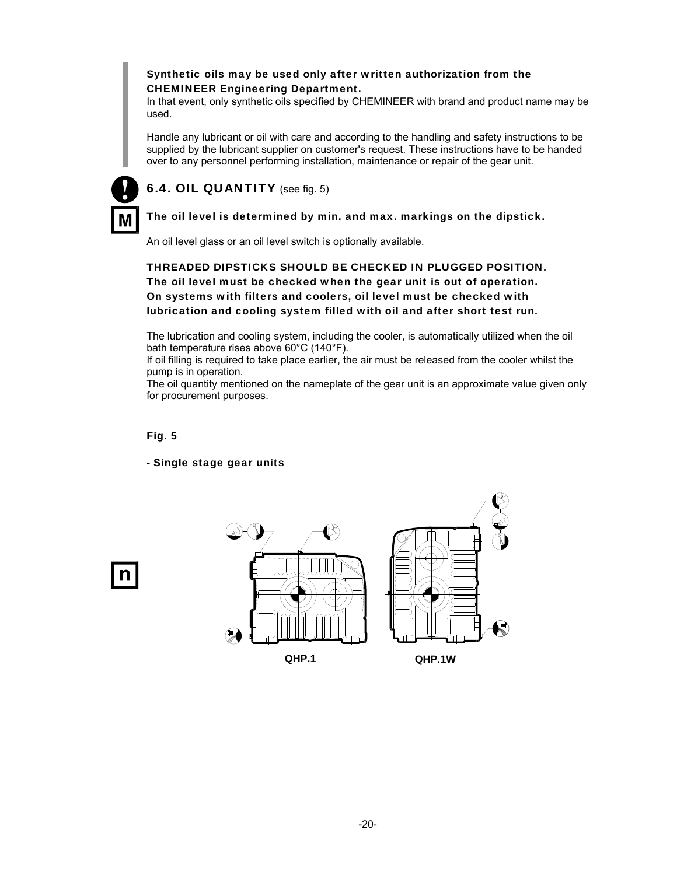#### Synthetic oils may be used only after written authorization from the CHEMINEER Engineering Department.

In that event, only synthetic oils specified by CHEMINEER with brand and product name may be used.

Handle any lubricant or oil with care and according to the handling and safety instructions to be supplied by the lubricant supplier on customer's request. These instructions have to be handed over to any personnel performing installation, maintenance or repair of the gear unit.



# 6.4. OIL QUANTITY (see fig. 5)

#### The oil level is determined by min. and max. markings on the dipstick**.**

An oil level glass or an oil level switch is optionally available.

THREADED DIPSTICKS SHOULD BE CHECKED IN PLUGGED POSITION. The oil level must be checked when the gear unit is out of operation. On systems with filters and coolers, oil level must be checked with lubrication and cooling system filled with oil and after short test run.

The lubrication and cooling system, including the cooler, is automatically utilized when the oil bath temperature rises above 60°C (140°F).

If oil filling is required to take place earlier, the air must be released from the cooler whilst the pump is in operation.

The oil quantity mentioned on the nameplate of the gear unit is an approximate value given only for procurement purposes.

#### Fig. 5

- Single stage gear units



n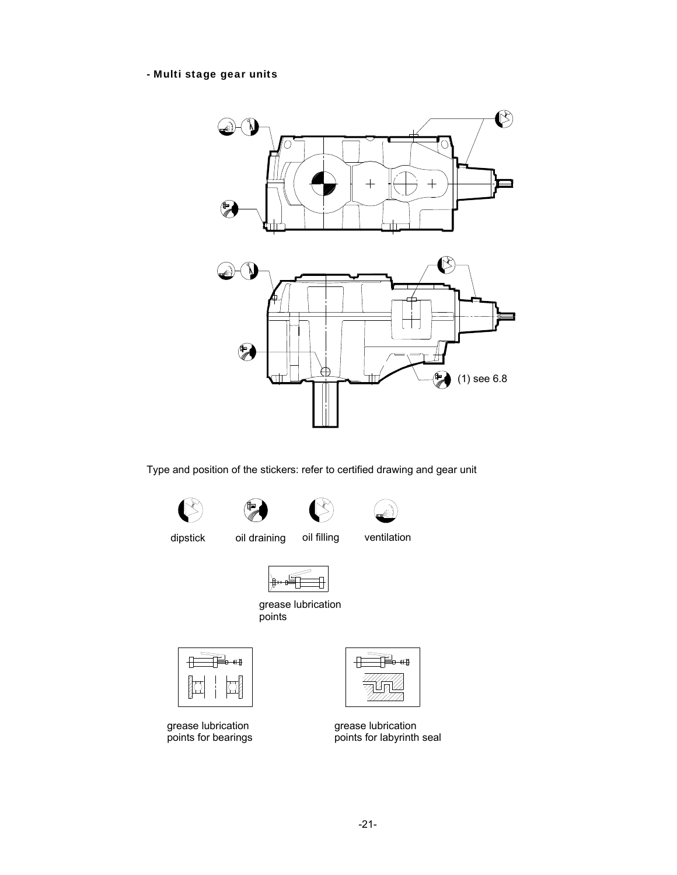#### - Multi stage gear units



Type and position of the stickers: refer to certified drawing and gear unit









dipstick oil draining oil filling ventilation







grease lubrication points for bearings



grease lubrication points for labyrinth seal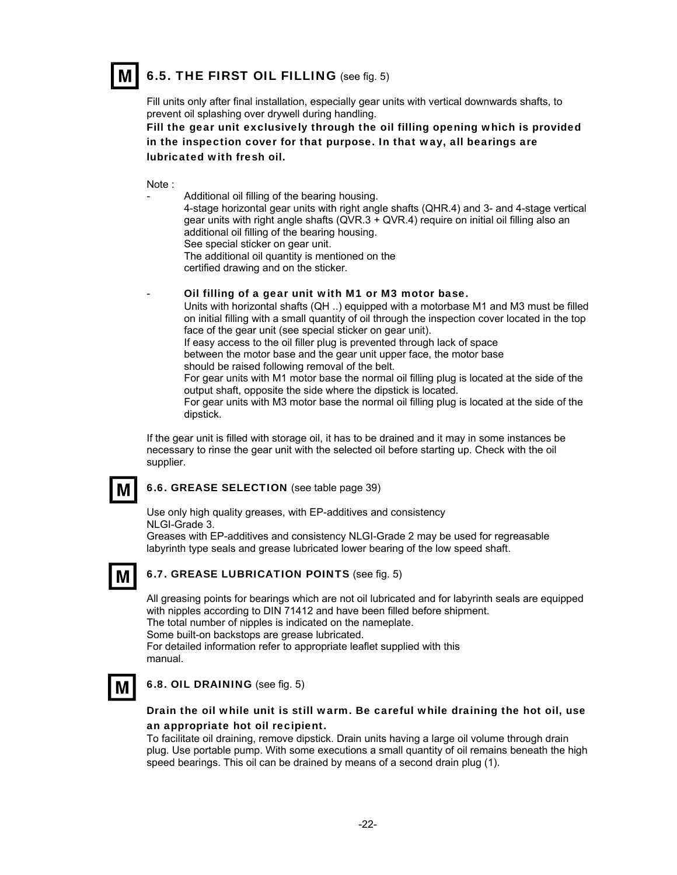

Fill units only after final installation, especially gear units with vertical downwards shafts, to prevent oil splashing over drywell during handling.

Fill the gear unit exclusively through the oil filling opening which is provided in the inspection cover for that purpose. In that way, all bearings are lubricated with fresh oil.

Note :

Additional oil filling of the bearing housing. 4-stage horizontal gear units with right angle shafts (QHR.4) and 3- and 4-stage vertical gear units with right angle shafts (QVR.3 + QVR.4) require on initial oil filling also an additional oil filling of the bearing housing. See special sticker on gear unit. The additional oil quantity is mentioned on the certified drawing and on the sticker.

Oil filling of a gear unit with M1 or M3 motor base.

Units with horizontal shafts (QH ..) equipped with a motorbase M1 and M3 must be filled on initial filling with a small quantity of oil through the inspection cover located in the top face of the gear unit (see special sticker on gear unit).

If easy access to the oil filler plug is prevented through lack of space

between the motor base and the gear unit upper face, the motor base

should be raised following removal of the belt.

For gear units with M1 motor base the normal oil filling plug is located at the side of the output shaft, opposite the side where the dipstick is located.

For gear units with M3 motor base the normal oil filling plug is located at the side of the dipstick.

If the gear unit is filled with storage oil, it has to be drained and it may in some instances be necessary to rinse the gear unit with the selected oil before starting up. Check with the oil supplier.

# M

6.6. GREASE SELECTION (see table page 39)

Use only high quality greases, with EP-additives and consistency NLGI-Grade 3.

Greases with EP-additives and consistency NLGI-Grade 2 may be used for regreasable labyrinth type seals and grease lubricated lower bearing of the low speed shaft.

M

#### 6.7. GREASE LUBRICATION POINTS (see fig. 5)

All greasing points for bearings which are not oil lubricated and for labyrinth seals are equipped with nipples according to DIN 71412 and have been filled before shipment. The total number of nipples is indicated on the nameplate. Some built-on backstops are grease lubricated. For detailed information refer to appropriate leaflet supplied with this manual.



#### 6.8. OIL DRAINING (see fig. 5)

#### Drain the oil while unit is still warm. Be careful while draining the hot oil, use an appropriate hot oil recipient.

To facilitate oil draining, remove dipstick. Drain units having a large oil volume through drain plug. Use portable pump. With some executions a small quantity of oil remains beneath the high speed bearings. This oil can be drained by means of a second drain plug (1).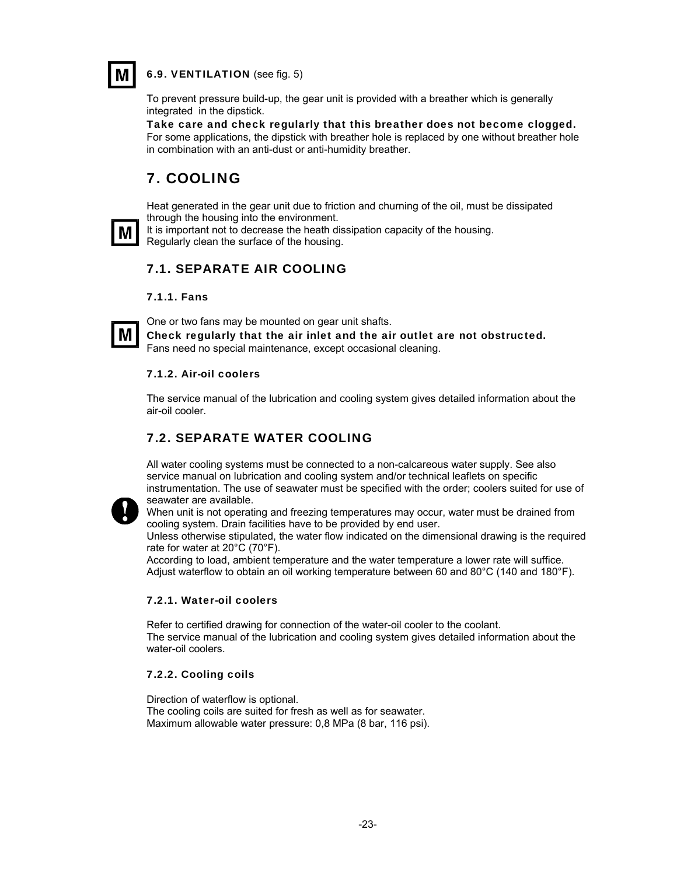

6.9. VENTILATION (see fig. 5)

To prevent pressure build-up, the gear unit is provided with a breather which is generally integrated in the dipstick.

Take care and check regularly that this breather does not become clogged. For some applications, the dipstick with breather hole is replaced by one without breather hole in combination with an anti-dust or anti-humidity breather.

# 7. COOLING

Heat generated in the gear unit due to friction and churning of the oil, must be dissipated through the housing into the environment.



It is important not to decrease the heath dissipation capacity of the housing. Regularly clean the surface of the housing.

# 7.1. SEPARATE AIR COOLING

#### 7.1.1. Fans



One or two fans may be mounted on gear unit shafts. Check regularly that the air inlet and the air outlet are not obstructed. Fans need no special maintenance, except occasional cleaning.

#### 7.1.2. Air-oil coolers

The service manual of the lubrication and cooling system gives detailed information about the air-oil cooler.

# 7.2. SEPARATE WATER COOLING

All water cooling systems must be connected to a non-calcareous water supply. See also service manual on lubrication and cooling system and/or technical leaflets on specific instrumentation. The use of seawater must be specified with the order; coolers suited for use of seawater are available.



When unit is not operating and freezing temperatures may occur, water must be drained from cooling system. Drain facilities have to be provided by end user.

Unless otherwise stipulated, the water flow indicated on the dimensional drawing is the required rate for water at 20°C (70°F).

According to load, ambient temperature and the water temperature a lower rate will suffice. Adjust waterflow to obtain an oil working temperature between 60 and 80°C (140 and 180°F).

#### 7.2.1. Water-oil coolers

Refer to certified drawing for connection of the water-oil cooler to the coolant. The service manual of the lubrication and cooling system gives detailed information about the water-oil coolers.

#### 7.2.2. Cooling coils

Direction of waterflow is optional. The cooling coils are suited for fresh as well as for seawater. Maximum allowable water pressure: 0,8 MPa (8 bar, 116 psi).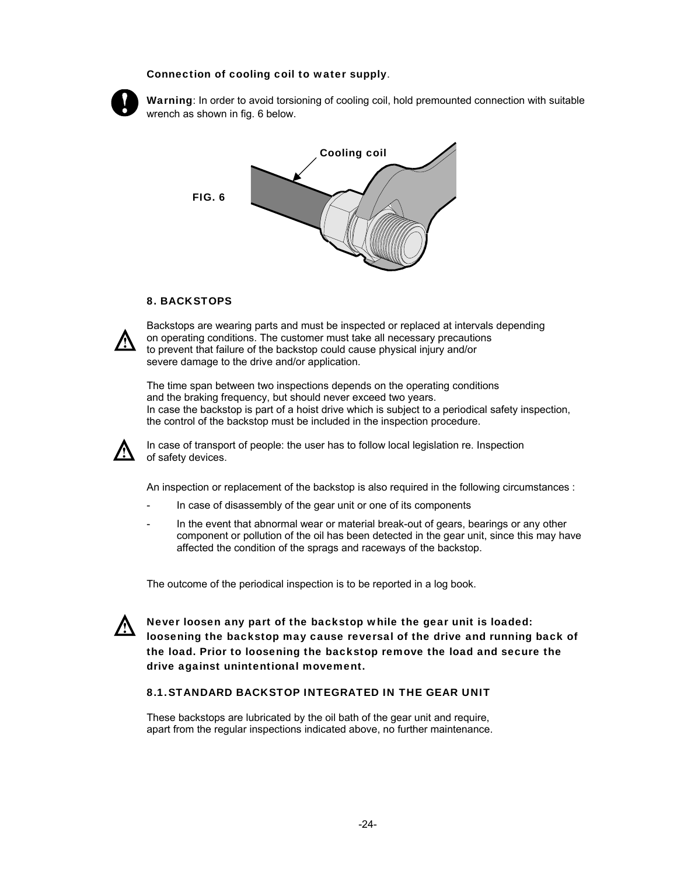#### Connection of cooling coil to water supply.



Warning: In order to avoid torsioning of cooling coil, hold premounted connection with suitable wrench as shown in fig. 6 below.



#### 8. BACKSTOPS



Backstops are wearing parts and must be inspected or replaced at intervals depending on operating conditions. The customer must take all necessary precautions to prevent that failure of the backstop could cause physical injury and/or severe damage to the drive and/or application.

The time span between two inspections depends on the operating conditions and the braking frequency, but should never exceed two years. In case the backstop is part of a hoist drive which is subject to a periodical safety inspection, the control of the backstop must be included in the inspection procedure.



In case of transport of people: the user has to follow local legislation re. Inspection of safety devices.

An inspection or replacement of the backstop is also required in the following circumstances :

- In case of disassembly of the gear unit or one of its components
- In the event that abnormal wear or material break-out of gears, bearings or any other component or pollution of the oil has been detected in the gear unit, since this may have affected the condition of the sprags and raceways of the backstop.

The outcome of the periodical inspection is to be reported in a log book.



Never loosen any part of the backstop while the gear unit is loaded: loosening the backstop may cause reversal of the drive and running back of the load. Prior to loosening the backstop remove the load and secure the drive against unintentional movement.

#### 8.1. STANDARD BACKSTOP INTEGRATED IN THE GEAR UNIT

These backstops are lubricated by the oil bath of the gear unit and require, apart from the regular inspections indicated above, no further maintenance.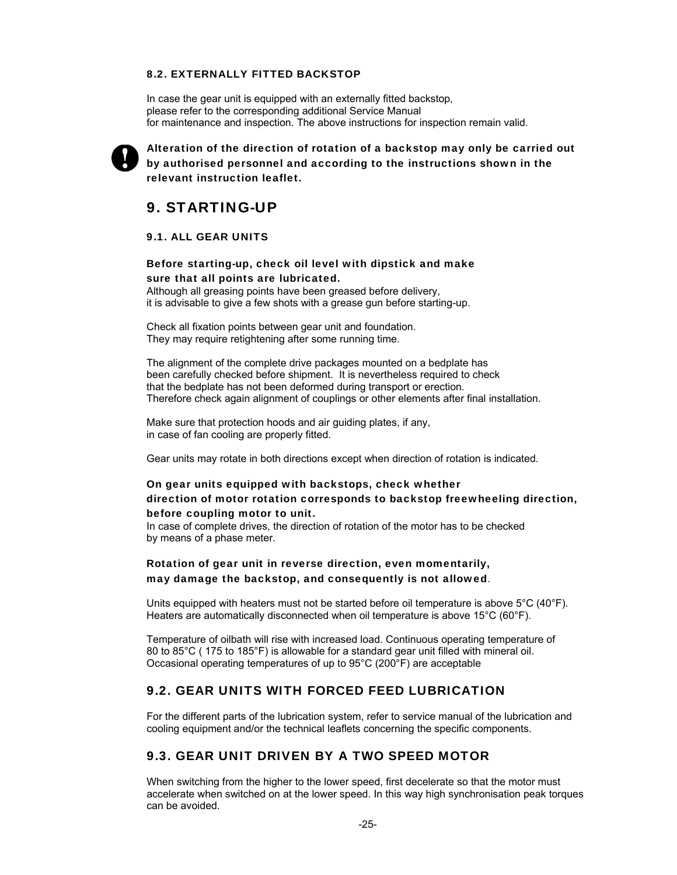#### 8.2. EXTERNALLY FITTED BACKSTOP

In case the gear unit is equipped with an externally fitted backstop. please refer to the corresponding additional Service Manual for maintenance and inspection. The above instructions for inspection remain valid.



Alteration of the direction of rotation of a backstop may only be carried out by authorised personnel and according to the instructions shown in the relevant instruction leaflet.

# 9. STARTING-UP

#### 9.1. ALL GEAR UNITS

#### Before starting-up, check oil level with dipstick and make sure that all points are lubricated.

Although all greasing points have been greased before delivery, it is advisable to give a few shots with a grease gun before starting-up.

Check all fixation points between gear unit and foundation. They may require retightening after some running time.

The alignment of the complete drive packages mounted on a bedplate has been carefully checked before shipment. It is nevertheless required to check that the bedplate has not been deformed during transport or erection. Therefore check again alignment of couplings or other elements after final installation.

Make sure that protection hoods and air guiding plates, if any, in case of fan cooling are properly fitted.

Gear units may rotate in both directions except when direction of rotation is indicated.

#### On gear units equipped with backstops, check whether direction of motor rotation corresponds to backstop freewheeling direction, before coupling motor to unit.

In case of complete drives, the direction of rotation of the motor has to be checked by means of a phase meter.

Rotation of gear unit in reverse direction, even momentarily, may damage the backstop, and consequently is not allowed.

Units equipped with heaters must not be started before oil temperature is above  $5^{\circ}$ C (40 $^{\circ}$ F). Heaters are automatically disconnected when oil temperature is above 15°C (60°F).

Temperature of oilbath will rise with increased load. Continuous operating temperature of 80 to 85°C ( 175 to 185°F) is allowable for a standard gear unit filled with mineral oil. Occasional operating temperatures of up to 95°C (200°F) are acceptable

#### 9.2. GEAR UNITS WITH FORCED FEED LUBRICATION

For the different parts of the lubrication system, refer to service manual of the lubrication and cooling equipment and/or the technical leaflets concerning the specific components.

### 9.3. GEAR UNIT DRIVEN BY A TWO SPEED MOTOR

When switching from the higher to the lower speed, first decelerate so that the motor must accelerate when switched on at the lower speed. In this way high synchronisation peak torques can be avoided.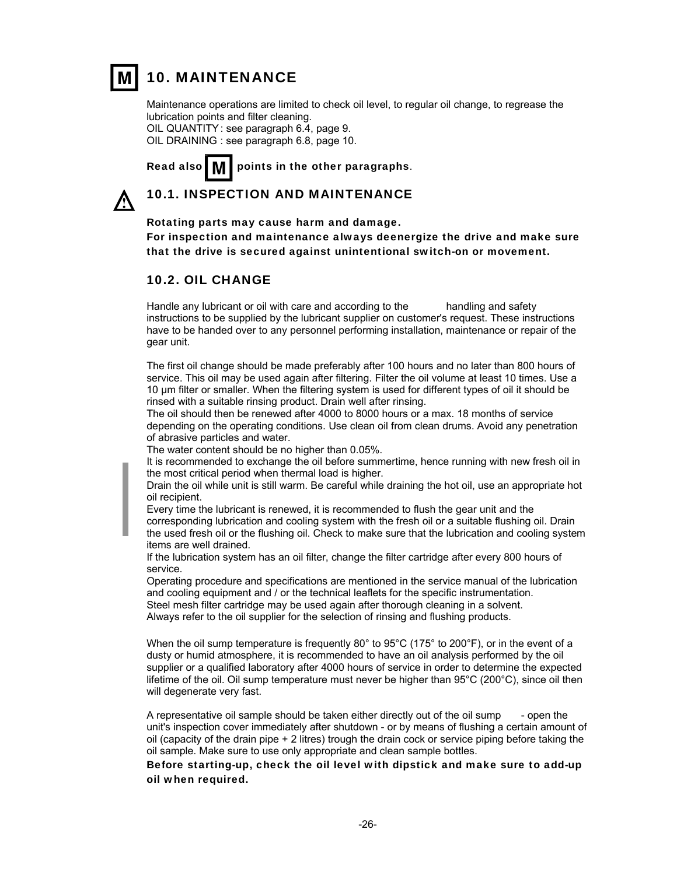

# 10. MAINTENANCE

Maintenance operations are limited to check oil level, to regular oil change, to regrease the lubrication points and filter cleaning.

OIL QUANTITY : see paragraph 6.4, page 9. OIL DRAINING : see paragraph 6.8, page 10.

Read also  $\blacksquare$   $\blacksquare$  points in the other paragraphs.

# 10.1. INSPECTION AND MAINTENANCE

Rotating parts may cause harm and damage.

For inspection and maintenance always deenergize the drive and make sure that the drive is secured against unintentional switch-on or movement.

### 10.2. OIL CHANGE

Handle any lubricant or oil with care and according to the handling and safety instructions to be supplied by the lubricant supplier on customer's request. These instructions have to be handed over to any personnel performing installation, maintenance or repair of the gear unit.

The first oil change should be made preferably after 100 hours and no later than 800 hours of service. This oil may be used again after filtering. Filter the oil volume at least 10 times. Use a 10 µm filter or smaller. When the filtering system is used for different types of oil it should be rinsed with a suitable rinsing product. Drain well after rinsing.

The oil should then be renewed after 4000 to 8000 hours or a max. 18 months of service depending on the operating conditions. Use clean oil from clean drums. Avoid any penetration of abrasive particles and water.

The water content should be no higher than 0.05%.

It is recommended to exchange the oil before summertime, hence running with new fresh oil in the most critical period when thermal load is higher.

Drain the oil while unit is still warm. Be careful while draining the hot oil, use an appropriate hot oil recipient.

Every time the lubricant is renewed, it is recommended to flush the gear unit and the corresponding lubrication and cooling system with the fresh oil or a suitable flushing oil. Drain the used fresh oil or the flushing oil. Check to make sure that the lubrication and cooling system items are well drained.

If the lubrication system has an oil filter, change the filter cartridge after every 800 hours of service.

Operating procedure and specifications are mentioned in the service manual of the lubrication and cooling equipment and / or the technical leaflets for the specific instrumentation. Steel mesh filter cartridge may be used again after thorough cleaning in a solvent. Always refer to the oil supplier for the selection of rinsing and flushing products.

When the oil sump temperature is frequently 80 $^{\circ}$  to 95 $^{\circ}$ C (175 $^{\circ}$  to 200 $^{\circ}$ F), or in the event of a dusty or humid atmosphere, it is recommended to have an oil analysis performed by the oil supplier or a qualified laboratory after 4000 hours of service in order to determine the expected lifetime of the oil. Oil sump temperature must never be higher than 95°C (200°C), since oil then will degenerate very fast.

A representative oil sample should be taken either directly out of the oil sump - open the unit's inspection cover immediately after shutdown - or by means of flushing a certain amount of oil (capacity of the drain pipe + 2 litres) trough the drain cock or service piping before taking the oil sample. Make sure to use only appropriate and clean sample bottles.

#### Before starting-up, check the oil level with dipstick and make sure to add-up oil when required.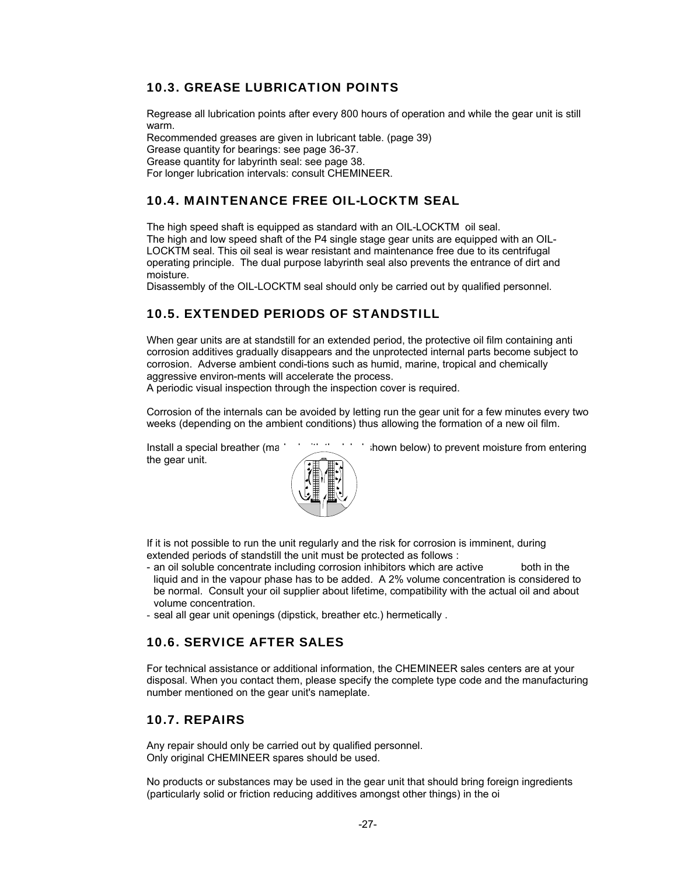# 10.3. GREASE LUBRICATION POINTS

Regrease all lubrication points after every 800 hours of operation and while the gear unit is still warm.

Recommended greases are given in lubricant table. (page 39) Grease quantity for bearings: see page 36-37. Grease quantity for labyrinth seal: see page 38. For longer lubrication intervals: consult CHEMINEER.

# 10.4. MAINTENANCE FREE OIL-LOCKTM SEAL

The high speed shaft is equipped as standard with an OIL-LOCKTM oil seal. The high and low speed shaft of the P4 single stage gear units are equipped with an OIL-LOCKTM seal. This oil seal is wear resistant and maintenance free due to its centrifugal operating principle. The dual purpose labyrinth seal also prevents the entrance of dirt and moisture.

Disassembly of the OIL-LOCKTM seal should only be carried out by qualified personnel.

# 10.5. EXTENDED PERIODS OF STANDSTILL

When gear units are at standstill for an extended period, the protective oil film containing anti corrosion additives gradually disappears and the unprotected internal parts become subject to corrosion. Adverse ambient condi-tions such as humid, marine, tropical and chemically aggressive environ-ments will accelerate the process.

A periodic visual inspection through the inspection cover is required.

Corrosion of the internals can be avoided by letting run the gear unit for a few minutes every two weeks (depending on the ambient conditions) thus allowing the formation of a new oil film.

the gear unit.



Install a special breather (marked with the label shown below) to prevent moisture from entering

If it is not possible to run the unit regularly and the risk for corrosion is imminent, during extended periods of standstill the unit must be protected as follows :

- an oil soluble concentrate including corrosion inhibitors which are active both in the liquid and in the vapour phase has to be added. A 2% volume concentration is considered to be normal. Consult your oil supplier about lifetime, compatibility with the actual oil and about volume concentration.
- seal all gear unit openings (dipstick, breather etc.) hermetically .

### 10.6. SERVICE AFTER SALES

For technical assistance or additional information, the CHEMINEER sales centers are at your disposal. When you contact them, please specify the complete type code and the manufacturing number mentioned on the gear unit's nameplate.

### 10.7. REPAIRS

Any repair should only be carried out by qualified personnel. Only original CHEMINEER spares should be used.

No products or substances may be used in the gear unit that should bring foreign ingredients (particularly solid or friction reducing additives amongst other things) in the oi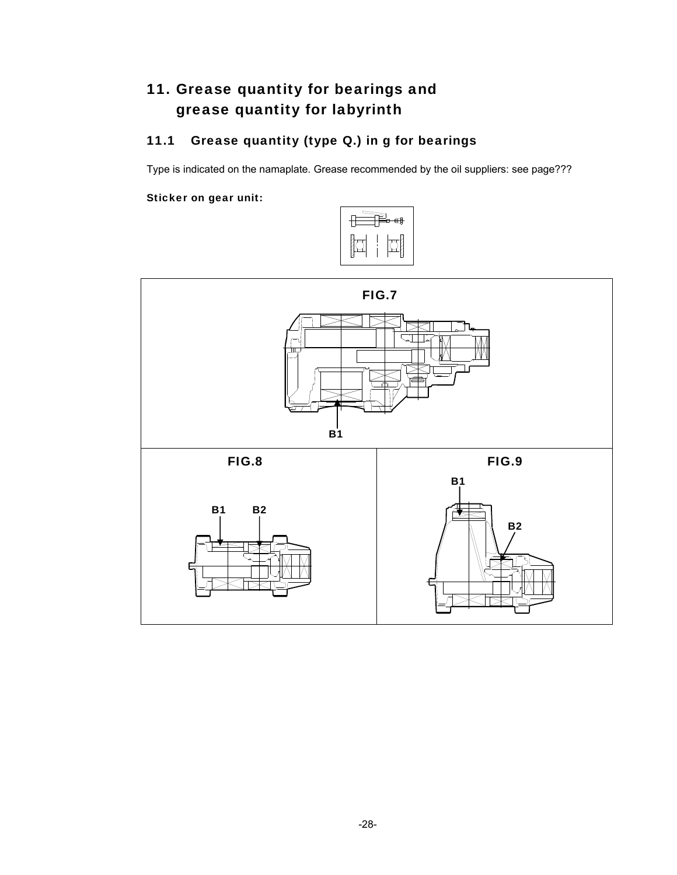# 11. Grease quantity for bearings and grease quantity for labyrinth

# 11.1 Grease quantity (type Q.) in g for bearings

Type is indicated on the namaplate. Grease recommended by the oil suppliers: see page???

# Sticker on gear unit:



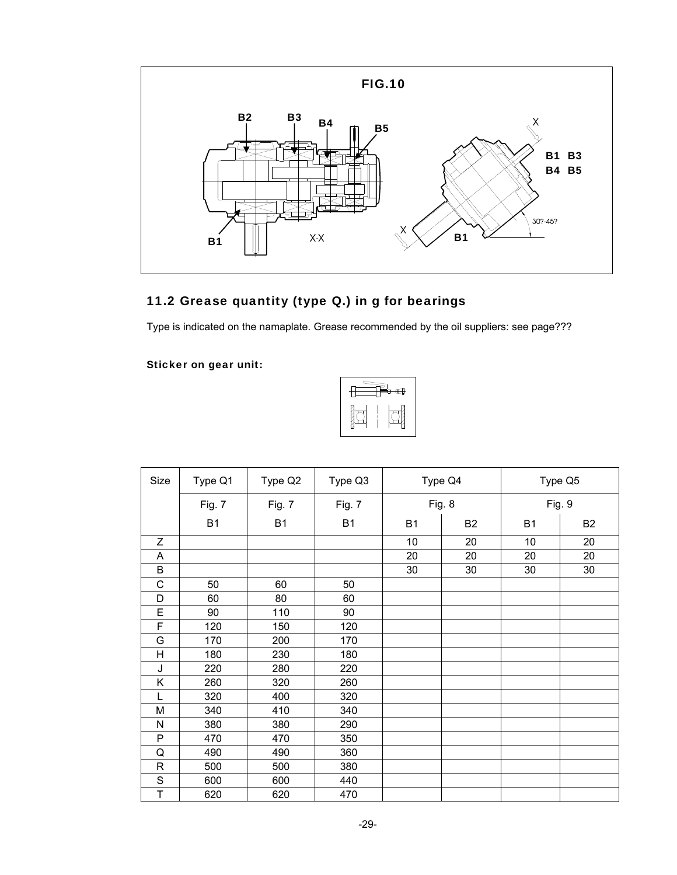

# 11.2 Grease quantity (type Q.) in g for bearings

Type is indicated on the namaplate. Grease recommended by the oil suppliers: see page???

Sticker on gear unit:



| Size                    | Type Q1   | Type Q2   | Type Q3   |           | Type Q4        | Type Q5   |                |  |
|-------------------------|-----------|-----------|-----------|-----------|----------------|-----------|----------------|--|
|                         | Fig. 7    | Fig. 7    | Fig. 7    | Fig. 8    |                | Fig. 9    |                |  |
|                         | <b>B1</b> | <b>B1</b> | <b>B1</b> | <b>B1</b> | B <sub>2</sub> | <b>B1</b> | B <sub>2</sub> |  |
| Z                       |           |           |           | 10        | 20             | 10        | 20             |  |
| Α                       |           |           |           | 20        | 20             | 20        | 20             |  |
| $\sf B$                 |           |           |           | 30        | 30             | 30        | 30             |  |
| $\mathsf C$             | 50        | 60        | 50        |           |                |           |                |  |
| D                       | 60        | 80        | 60        |           |                |           |                |  |
| E                       | 90        | 110       | 90        |           |                |           |                |  |
| F                       | 120       | 150       | 120       |           |                |           |                |  |
| G                       | 170       | 200       | 170       |           |                |           |                |  |
| $\overline{\mathsf{H}}$ | 180       | 230       | 180       |           |                |           |                |  |
| J                       | 220       | 280       | 220       |           |                |           |                |  |
| Κ                       | 260       | 320       | 260       |           |                |           |                |  |
| L                       | 320       | 400       | 320       |           |                |           |                |  |
| M                       | 340       | 410       | 340       |           |                |           |                |  |
| N                       | 380       | 380       | 290       |           |                |           |                |  |
| P                       | 470       | 470       | 350       |           |                |           |                |  |
| Q                       | 490       | 490       | 360       |           |                |           |                |  |
| $\mathsf{R}$            | 500       | 500       | 380       |           |                |           |                |  |
| $\mathbf S$             | 600       | 600       | 440       |           |                |           |                |  |
| T                       | 620       | 620       | 470       |           |                |           |                |  |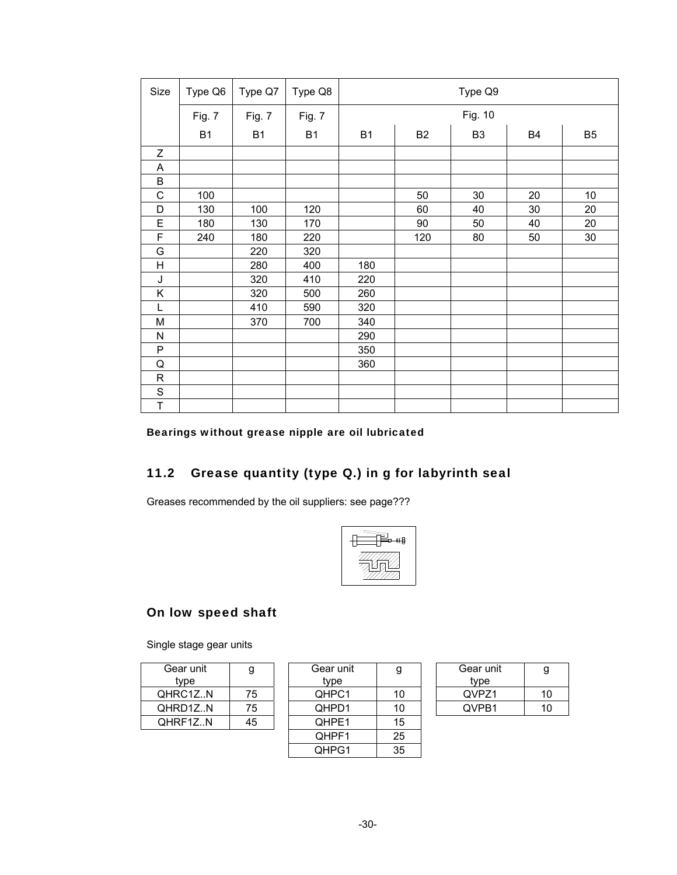| Size           | Type Q6   | Type Q7   | Type Q8   | Type Q9   |           |                |    |                |  |  |  |
|----------------|-----------|-----------|-----------|-----------|-----------|----------------|----|----------------|--|--|--|
|                | Fig. 7    | Fig. 7    | Fig. 7    | Fig. 10   |           |                |    |                |  |  |  |
|                | <b>B1</b> | <b>B1</b> | <b>B1</b> | <b>B1</b> | <b>B2</b> | B <sub>3</sub> | B4 | B <sub>5</sub> |  |  |  |
| Z              |           |           |           |           |           |                |    |                |  |  |  |
| Α              |           |           |           |           |           |                |    |                |  |  |  |
| B              |           |           |           |           |           |                |    |                |  |  |  |
| $\mathsf C$    | 100       |           |           |           | 50        | 30             | 20 | 10             |  |  |  |
| D              | 130       | 100       | 120       |           | 60        | 40             | 30 | 20             |  |  |  |
| E              | 180       | 130       | 170       |           | 90        | 50             | 40 | 20             |  |  |  |
| F              | 240       | 180       | 220       |           | 120       | 80             | 50 | 30             |  |  |  |
| G              |           | 220       | 320       |           |           |                |    |                |  |  |  |
| $\overline{H}$ |           | 280       | 400       | 180       |           |                |    |                |  |  |  |
| J              |           | 320       | 410       | 220       |           |                |    |                |  |  |  |
| Κ              |           | 320       | 500       | 260       |           |                |    |                |  |  |  |
| L              |           | 410       | 590       | 320       |           |                |    |                |  |  |  |
| M              |           | 370       | 700       | 340       |           |                |    |                |  |  |  |
| N              |           |           |           | 290       |           |                |    |                |  |  |  |
| P              |           |           |           | 350       |           |                |    |                |  |  |  |
| Q              |           |           |           | 360       |           |                |    |                |  |  |  |
| $\mathsf{R}$   |           |           |           |           |           |                |    |                |  |  |  |
| $\mathbf S$    |           |           |           |           |           |                |    |                |  |  |  |
| T              |           |           |           |           |           |                |    |                |  |  |  |

Bearings without grease nipple are oil lubricated

# 11.2 Grease quantity (type Q.) in g for labyrinth seal

Greases recommended by the oil suppliers: see page???



# On low speed shaft

Single stage gear units

| Gear unit | g  |
|-----------|----|
| type      |    |
| QHRC1ZN   | 75 |
| QHRD1ZN   | 75 |
| QHRF1ZN   | 45 |
|           |    |

| Gear unit<br>tvpe | g  | Gear unit<br>tvpe | g  | Gear unit<br>type | g  |
|-------------------|----|-------------------|----|-------------------|----|
| QHRC1ZN           | 75 | QHPC1             | 10 | QVPZ1             | 10 |
| QHRD1ZN           | 75 | QHPD1             | 10 | QVPB1             | 10 |
| QHRF1ZN           | 45 | QHPE1             | 15 |                   |    |
|                   |    | QHPF1             | 25 |                   |    |
|                   |    | QHPG1             | 35 |                   |    |

| g  | Gear unit<br>tvpe | g   |
|----|-------------------|-----|
| ın | QVPZ1             | 10  |
|    | QVPB1             | 11) |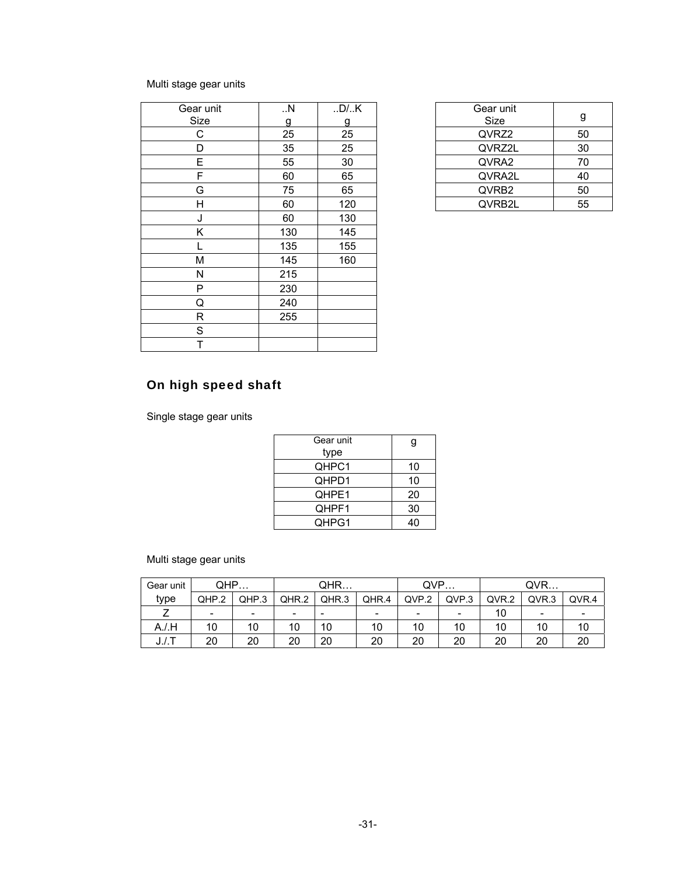# Multi stage gear units

| Gear unit | . N | .D/.K | Gear unit |  |
|-----------|-----|-------|-----------|--|
| Size      | g   | g     | Size      |  |
| C         | 25  | 25    | QVRZ2     |  |
| D         | 35  | 25    | QVRZ2L    |  |
| E         | 55  | 30    | QVRA2     |  |
| F         | 60  | 65    | QVRA2L    |  |
| G         | 75  | 65    | QVRB2     |  |
| Н         | 60  | 120   | QVRB2L    |  |
| J         | 60  | 130   |           |  |
| Κ         | 130 | 145   |           |  |
|           | 135 | 155   |           |  |
| M         | 145 | 160   |           |  |
| N         | 215 |       |           |  |
| P         | 230 |       |           |  |
| Q         | 240 |       |           |  |
| R         | 255 |       |           |  |
| S         |     |       |           |  |
| Т         |     |       |           |  |

| Gear unit<br>Size |    |
|-------------------|----|
| QVRZ2             | 50 |
| QVRZ2L            | 30 |
| QVRA2             | 70 |
| QVRA2L            | 40 |
| QVRB2             | 50 |
| QVRB2L            | 55 |

# On high speed shaft

Single stage gear units

| Gear unit<br>type |    |
|-------------------|----|
| QHPC1             | 10 |
| QHPD1             | 10 |
| QHPE1             | 20 |
| QHPF1             | 30 |
| QHPG1             |    |

Multi stage gear units

| Gear unit       | QHP                      |       |                          | QHR                      |                          | QVP                      |       | QVR   |                          |                          |
|-----------------|--------------------------|-------|--------------------------|--------------------------|--------------------------|--------------------------|-------|-------|--------------------------|--------------------------|
| type            | QHP.2                    | QHP.3 | QHR.2                    | QHR.3                    | QHR.4                    | QVP.2                    | QVP.3 | QVR.2 | QVR.3                    | QVR.4                    |
|                 | $\overline{\phantom{0}}$ | -     | $\overline{\phantom{0}}$ | $\overline{\phantom{0}}$ | $\overline{\phantom{0}}$ | $\overline{\phantom{0}}$ | -     | 10    | $\overline{\phantom{0}}$ | $\overline{\phantom{0}}$ |
| $A$ ./.H        | 10                       | 10    | 10                       | 10                       | 10                       | 10                       | 10    | 10    | 10                       | 10                       |
| $J_{\cdot}$ /.T | 20                       | 20    | 20                       | 20                       | 20                       | 20                       | 20    | 20    | 20                       | 20                       |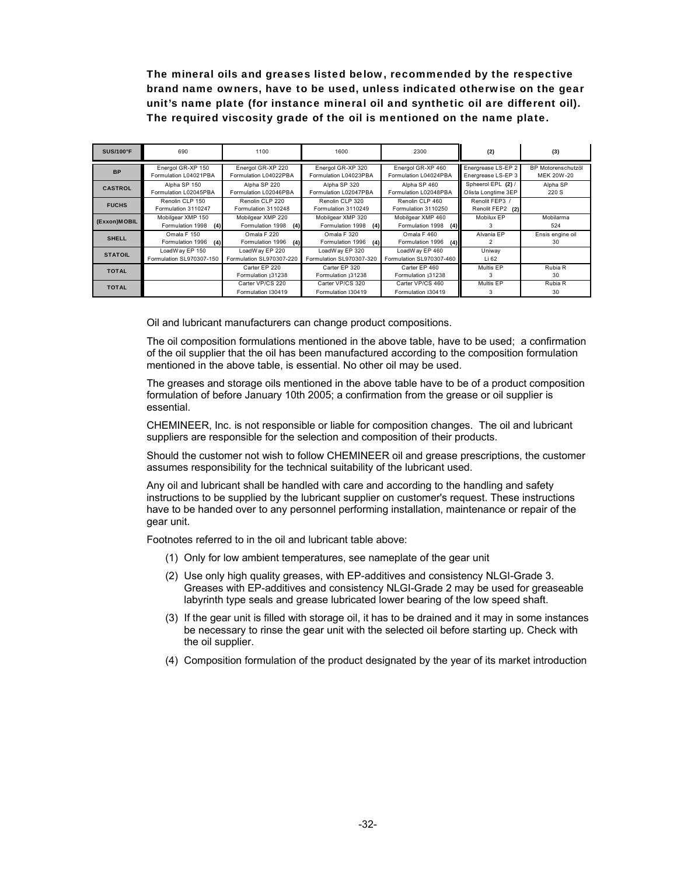The mineral oils and greases listed below, recommended by the respective brand name owners, have to be used, unless indicated otherwise on the gear unit's name plate (for instance mineral oil and synthetic oil are different oil). The required viscosity grade of the oil is mentioned on the name plate.

| <b>SUS/100°F</b> | 690                                          | 1100                                         | 1600                                         | 2300                                         | (2)                                       | (3)                              |
|------------------|----------------------------------------------|----------------------------------------------|----------------------------------------------|----------------------------------------------|-------------------------------------------|----------------------------------|
| <b>BP</b>        | Energol GR-XP 150<br>Formulation L04021PBA   | Energol GR-XP 220<br>Formulation L04022PBA   | Energol GR-XP 320<br>Formulation L04023PBA   | Energol GR-XP 460<br>Formulation L04024PBA   | Energrease LS-EP 2<br>Energrease LS-EP 3  | BP Motorenschutzöl<br>MEK 20W-20 |
| <b>CASTROL</b>   | Alpha SP 150<br>Formulation L02045PBA        | Alpha SP 220<br>Formulation L02046PBA        | Alpha SP 320<br>Formulation L02047PBA        | Alpha SP 460<br>Formulation L02048PBA        | Spheerol EPL (2) /<br>Olista Longtime 3EP | Alpha SP<br>220 S                |
| <b>FUCHS</b>     | Renolin CLP 150<br>Formulation 3110247       | Renolin CLP 220<br>Formulation 3110248       | Renolin CLP 320<br>Formulation 3110249       | Renolin CLP 460<br>Formulation 3110250       | Renolit FEP3 /<br>Renolit FEP2 (2)        |                                  |
| (Exxon)MOBIL     | Mobilgear XMP 150<br>Formulation 1998<br>(4) | Mobilgear XMP 220<br>Formulation 1998<br>(4) | Mobilgear XMP 320<br>Formulation 1998<br>(4) | Mobilgear XMP 460<br>Formulation 1998<br>(4) | Mobilux FP                                | Mobilarma<br>524                 |
| <b>SHELL</b>     | Omala F 150<br>Formulation 1996<br>(4)       | Omala F 220<br>Formulation 1996<br>(4)       | Omala F 320<br>Formulation 1996<br>(4)       | Omala F 460<br>(4)<br>Formulation 1996       | Alvania EP                                | Ensis engine oil<br>30           |
| <b>STATOIL</b>   | LoadWay EP 150<br>Formulation SL970307-150   | LoadWay EP 220<br>Formulation SL970307-220   | LoadWay EP 320<br>Formulation SL970307-320   | LoadWay EP 460<br>Formulation SL970307-460   | Uniway<br>Li 62                           |                                  |
| <b>TOTAL</b>     |                                              | Carter FP 220<br>Formulation 131238          | Carter FP 320<br>Formulation 131238          | Carter FP 460<br>Formulation 131238          | Multis EP                                 | Rubia R<br>30                    |
| <b>TOTAL</b>     |                                              | Carter VP/CS 220<br>Formulation 130419       | Carter VP/CS 320<br>Formulation 130419       | Carter VP/CS 460<br>Formulation 130419       | Multis EP                                 | Rubia R<br>30                    |

Oil and lubricant manufacturers can change product compositions.

The oil composition formulations mentioned in the above table, have to be used; a confirmation of the oil supplier that the oil has been manufactured according to the composition formulation mentioned in the above table, is essential. No other oil may be used.

The greases and storage oils mentioned in the above table have to be of a product composition formulation of before January 10th 2005; a confirmation from the grease or oil supplier is essential.

CHEMINEER, Inc. is not responsible or liable for composition changes. The oil and lubricant suppliers are responsible for the selection and composition of their products.

Should the customer not wish to follow CHEMINEER oil and grease prescriptions, the customer assumes responsibility for the technical suitability of the lubricant used.

Any oil and lubricant shall be handled with care and according to the handling and safety instructions to be supplied by the lubricant supplier on customer's request. These instructions have to be handed over to any personnel performing installation, maintenance or repair of the gear unit.

Footnotes referred to in the oil and lubricant table above:

- (1) Only for low ambient temperatures, see nameplate of the gear unit
- (2) Use only high quality greases, with EP-additives and consistency NLGI-Grade 3. Greases with EP-additives and consistency NLGI-Grade 2 may be used for greaseable labyrinth type seals and grease lubricated lower bearing of the low speed shaft.
- (3) If the gear unit is filled with storage oil, it has to be drained and it may in some instances be necessary to rinse the gear unit with the selected oil before starting up. Check with the oil supplier.
- (4) Composition formulation of the product designated by the year of its market introduction